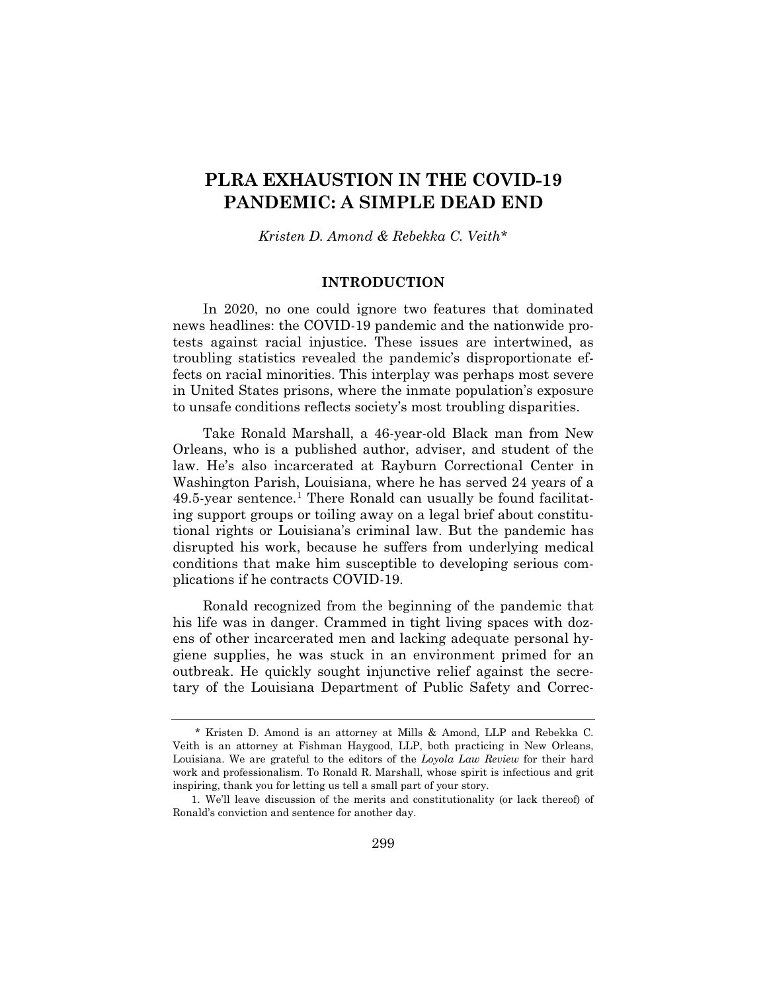# **PLRA EXHAUSTION IN THE COVID-19 PANDEMIC: A SIMPLE DEAD END**

*Kristen D. Amond & Rebekka C. Veith\**

## **INTRODUCTION**

In 2020, no one could ignore two features that dominated news headlines: the COVID-19 pandemic and the nationwide protests against racial injustice. These issues are intertwined, as troubling statistics revealed the pandemic's disproportionate effects on racial minorities. This interplay was perhaps most severe in United States prisons, where the inmate population's exposure to unsafe conditions reflects society's most troubling disparities.

Take Ronald Marshall, a 46-year-old Black man from New Orleans, who is a published author, adviser, and student of the law. He's also incarcerated at Rayburn Correctional Center in Washington Parish, Louisiana, where he has served 24 years of a  $49.5$ -year sentence.<sup>1</sup> There Ronald can usually be found facilitating support groups or toiling away on a legal brief about constitutional rights or Louisiana's criminal law. But the pandemic has disrupted his work, because he suffers from underlying medical conditions that make him susceptible to developing serious complications if he contracts COVID-19.

Ronald recognized from the beginning of the pandemic that his life was in danger. Crammed in tight living spaces with dozens of other incarcerated men and lacking adequate personal hygiene supplies, he was stuck in an environment primed for an outbreak. He quickly sought injunctive relief against the secretary of the Louisiana Department of Public Safety and Correc-

<sup>\*</sup> Kristen D. Amond is an attorney at Mills & Amond, LLP and Rebekka C. Veith is an attorney at Fishman Haygood, LLP, both practicing in New Orleans, Louisiana. We are grateful to the editors of the *Loyola Law Review* for their hard work and professionalism. To Ronald R. Marshall, whose spirit is infectious and grit inspiring, thank you for letting us tell a small part of your story.

<sup>1.</sup> We'll leave discussion of the merits and constitutionality (or lack thereof) of Ronald's conviction and sentence for another day.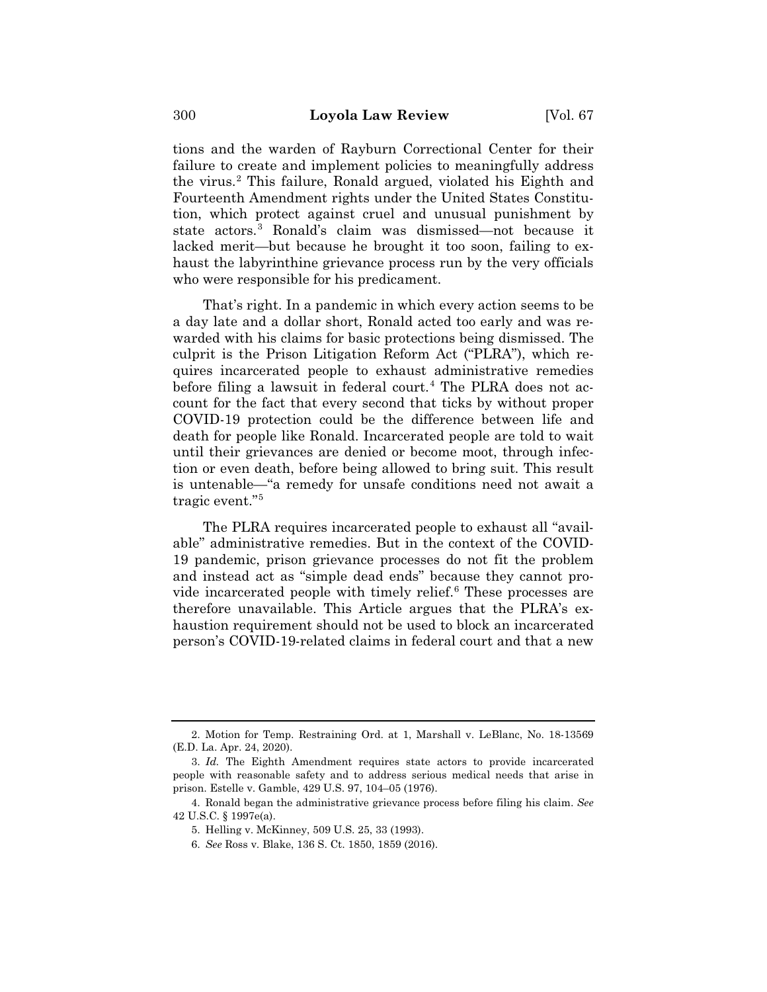tions and the warden of Rayburn Correctional Center for their failure to create and implement policies to meaningfully address the virus.2 This failure, Ronald argued, violated his Eighth and Fourteenth Amendment rights under the United States Constitution, which protect against cruel and unusual punishment by state actors.3 Ronald's claim was dismissed—not because it lacked merit—but because he brought it too soon, failing to exhaust the labyrinthine grievance process run by the very officials who were responsible for his predicament.

That's right. In a pandemic in which every action seems to be a day late and a dollar short, Ronald acted too early and was rewarded with his claims for basic protections being dismissed. The culprit is the Prison Litigation Reform Act ("PLRA"), which requires incarcerated people to exhaust administrative remedies before filing a lawsuit in federal court.<sup>4</sup> The PLRA does not account for the fact that every second that ticks by without proper COVID-19 protection could be the difference between life and death for people like Ronald. Incarcerated people are told to wait until their grievances are denied or become moot, through infection or even death, before being allowed to bring suit. This result is untenable—"a remedy for unsafe conditions need not await a tragic event."5

The PLRA requires incarcerated people to exhaust all "available" administrative remedies. But in the context of the COVID-19 pandemic, prison grievance processes do not fit the problem and instead act as "simple dead ends" because they cannot provide incarcerated people with timely relief.<sup>6</sup> These processes are therefore unavailable. This Article argues that the PLRA's exhaustion requirement should not be used to block an incarcerated person's COVID-19-related claims in federal court and that a new

<sup>2.</sup> Motion for Temp. Restraining Ord. at 1, Marshall v. LeBlanc, No. 18-13569 (E.D. La. Apr. 24, 2020).

<sup>3.</sup> *Id.* The Eighth Amendment requires state actors to provide incarcerated people with reasonable safety and to address serious medical needs that arise in prison. Estelle v. Gamble, 429 U.S. 97, 104–05 (1976).

<sup>4.</sup> Ronald began the administrative grievance process before filing his claim. *See*  42 U.S.C. § 1997e(a).

<sup>5.</sup> Helling v. McKinney, 509 U.S. 25, 33 (1993).

<sup>6.</sup> *See* Ross v. Blake, 136 S. Ct. 1850, 1859 (2016).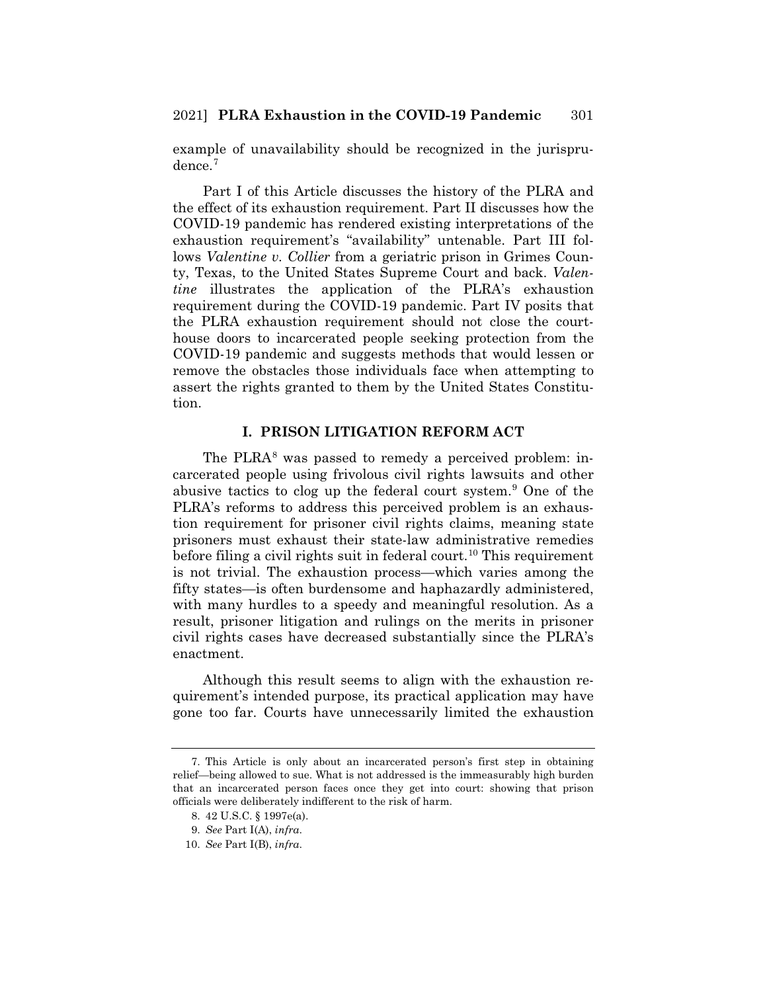example of unavailability should be recognized in the jurisprudence.<sup>7</sup>

Part I of this Article discusses the history of the PLRA and the effect of its exhaustion requirement. Part II discusses how the COVID-19 pandemic has rendered existing interpretations of the exhaustion requirement's "availability" untenable. Part III follows *Valentine v. Collier* from a geriatric prison in Grimes County, Texas, to the United States Supreme Court and back. *Valentine* illustrates the application of the PLRA's exhaustion requirement during the COVID-19 pandemic. Part IV posits that the PLRA exhaustion requirement should not close the courthouse doors to incarcerated people seeking protection from the COVID-19 pandemic and suggests methods that would lessen or remove the obstacles those individuals face when attempting to assert the rights granted to them by the United States Constitution.

## **I. PRISON LITIGATION REFORM ACT**

The PLRA $^8$  was passed to remedy a perceived problem: incarcerated people using frivolous civil rights lawsuits and other abusive tactics to clog up the federal court system.<sup>9</sup> One of the PLRA's reforms to address this perceived problem is an exhaustion requirement for prisoner civil rights claims, meaning state prisoners must exhaust their state-law administrative remedies before filing a civil rights suit in federal court.<sup>10</sup> This requirement is not trivial. The exhaustion process—which varies among the fifty states—is often burdensome and haphazardly administered, with many hurdles to a speedy and meaningful resolution. As a result, prisoner litigation and rulings on the merits in prisoner civil rights cases have decreased substantially since the PLRA's enactment.

Although this result seems to align with the exhaustion requirement's intended purpose, its practical application may have gone too far. Courts have unnecessarily limited the exhaustion

<sup>7.</sup> This Article is only about an incarcerated person's first step in obtaining relief—being allowed to sue. What is not addressed is the immeasurably high burden that an incarcerated person faces once they get into court: showing that prison officials were deliberately indifferent to the risk of harm.

<sup>8. 42</sup> U.S.C. § 1997e(a).

<sup>9.</sup> *See* Part I(A), *infra*.

<sup>10.</sup> *See* Part I(B), *infra*.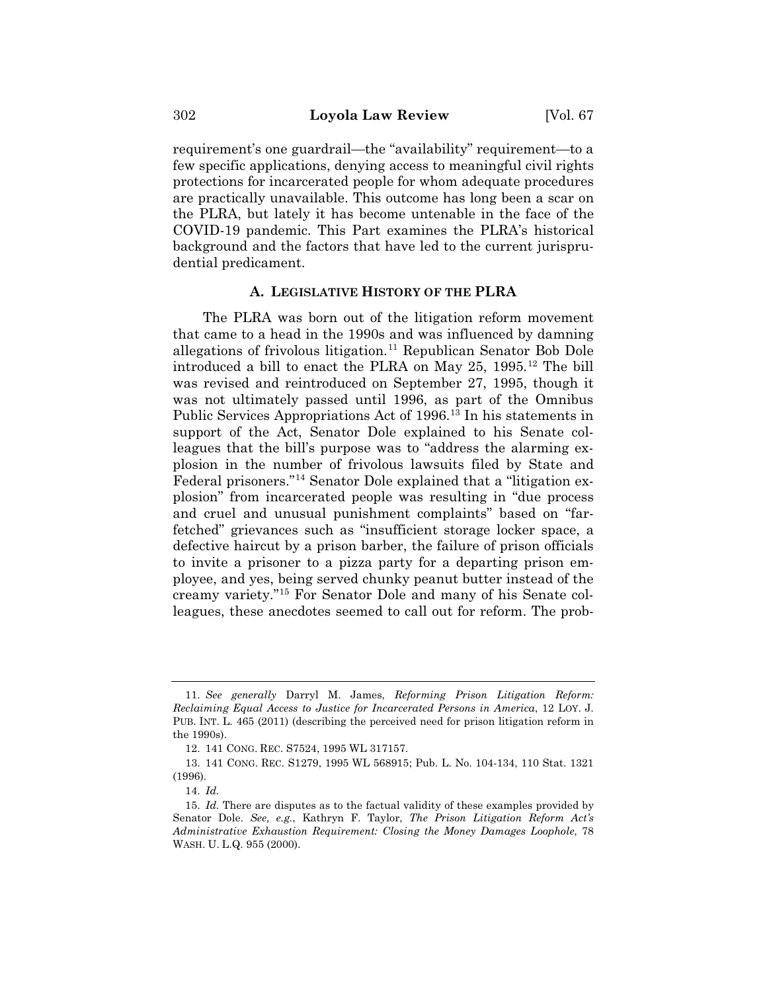requirement's one guardrail—the "availability" requirement—to a few specific applications, denying access to meaningful civil rights protections for incarcerated people for whom adequate procedures are practically unavailable. This outcome has long been a scar on the PLRA, but lately it has become untenable in the face of the COVID-19 pandemic. This Part examines the PLRA's historical background and the factors that have led to the current jurisprudential predicament.

#### **A. LEGISLATIVE HISTORY OF THE PLRA**

The PLRA was born out of the litigation reform movement that came to a head in the 1990s and was influenced by damning allegations of frivolous litigation.<sup>11</sup> Republican Senator Bob Dole introduced a bill to enact the PLRA on May 25, 1995.12 The bill was revised and reintroduced on September 27, 1995, though it was not ultimately passed until 1996, as part of the Omnibus Public Services Appropriations Act of 1996.<sup>13</sup> In his statements in support of the Act, Senator Dole explained to his Senate colleagues that the bill's purpose was to "address the alarming explosion in the number of frivolous lawsuits filed by State and Federal prisoners."14 Senator Dole explained that a "litigation explosion" from incarcerated people was resulting in "due process and cruel and unusual punishment complaints" based on "farfetched" grievances such as "insufficient storage locker space, a defective haircut by a prison barber, the failure of prison officials to invite a prisoner to a pizza party for a departing prison employee, and yes, being served chunky peanut butter instead of the creamy variety."15 For Senator Dole and many of his Senate colleagues, these anecdotes seemed to call out for reform. The prob-

<sup>11.</sup> *See generally* Darryl M. James, *Reforming Prison Litigation Reform: Reclaiming Equal Access to Justice for Incarcerated Persons in America*, 12 LOY. J. PUB. INT. L. 465 (2011) (describing the perceived need for prison litigation reform in the 1990s).

<sup>12. 141</sup> CONG. REC. S7524, 1995 WL 317157.

<sup>13. 141</sup> CONG. REC. S1279, 1995 WL 568915; Pub. L. No. 104-134, 110 Stat. 1321 (1996).

<sup>14.</sup> *Id.*

<sup>15.</sup> *Id.* There are disputes as to the factual validity of these examples provided by Senator Dole. *See, e.g.*, Kathryn F. Taylor, *The Prison Litigation Reform Act's Administrative Exhaustion Requirement: Closing the Money Damages Loophole*, 78 WASH. U. L.Q. 955 (2000).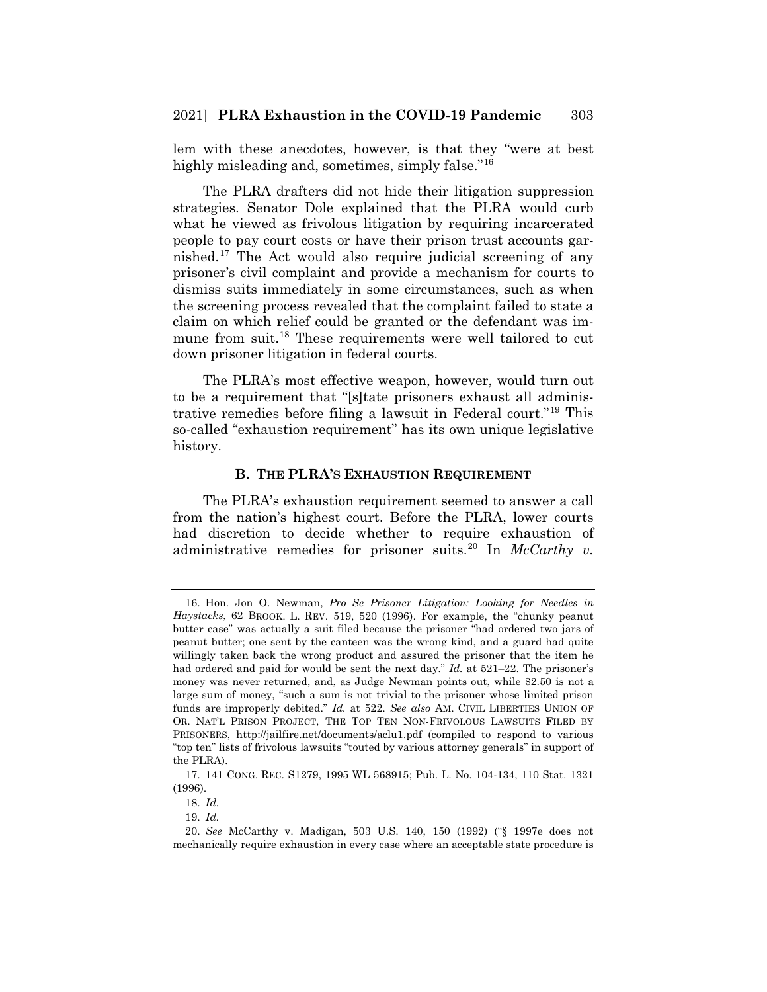lem with these anecdotes, however, is that they "were at best highly misleading and, sometimes, simply false."<sup>16</sup>

The PLRA drafters did not hide their litigation suppression strategies. Senator Dole explained that the PLRA would curb what he viewed as frivolous litigation by requiring incarcerated people to pay court costs or have their prison trust accounts garnished.17 The Act would also require judicial screening of any prisoner's civil complaint and provide a mechanism for courts to dismiss suits immediately in some circumstances, such as when the screening process revealed that the complaint failed to state a claim on which relief could be granted or the defendant was immune from suit.<sup>18</sup> These requirements were well tailored to cut down prisoner litigation in federal courts.

The PLRA's most effective weapon, however, would turn out to be a requirement that "[s]tate prisoners exhaust all administrative remedies before filing a lawsuit in Federal court."19 This so-called "exhaustion requirement" has its own unique legislative history.

## **B. THE PLRA'S EXHAUSTION REQUIREMENT**

The PLRA's exhaustion requirement seemed to answer a call from the nation's highest court. Before the PLRA, lower courts had discretion to decide whether to require exhaustion of administrative remedies for prisoner suits.<sup>20</sup> In *McCarthy v.* 

<sup>16.</sup> Hon. Jon O. Newman, *Pro Se Prisoner Litigation: Looking for Needles in Haystacks*, 62 BROOK. L. REV. 519, 520 (1996). For example, the "chunky peanut butter case" was actually a suit filed because the prisoner "had ordered two jars of peanut butter; one sent by the canteen was the wrong kind, and a guard had quite willingly taken back the wrong product and assured the prisoner that the item he had ordered and paid for would be sent the next day." *Id.* at 521–22. The prisoner's money was never returned, and, as Judge Newman points out, while \$2.50 is not a large sum of money, "such a sum is not trivial to the prisoner whose limited prison funds are improperly debited." *Id.* at 522. *See also* AM. CIVIL LIBERTIES UNION OF OR. NAT'L PRISON PROJECT, THE TOP TEN NON-FRIVOLOUS LAWSUITS FILED BY PRISONERS, http://jailfire.net/documents/aclu1.pdf (compiled to respond to various "top ten" lists of frivolous lawsuits "touted by various attorney generals" in support of the PLRA).

<sup>17. 141</sup> CONG. REC. S1279, 1995 WL 568915; Pub. L. No. 104-134, 110 Stat. 1321 (1996).

<sup>18.</sup> *Id.*

<sup>19.</sup> *Id.*

<sup>20.</sup> *See* McCarthy v. Madigan, 503 U.S. 140, 150 (1992) ("§ 1997e does not mechanically require exhaustion in every case where an acceptable state procedure is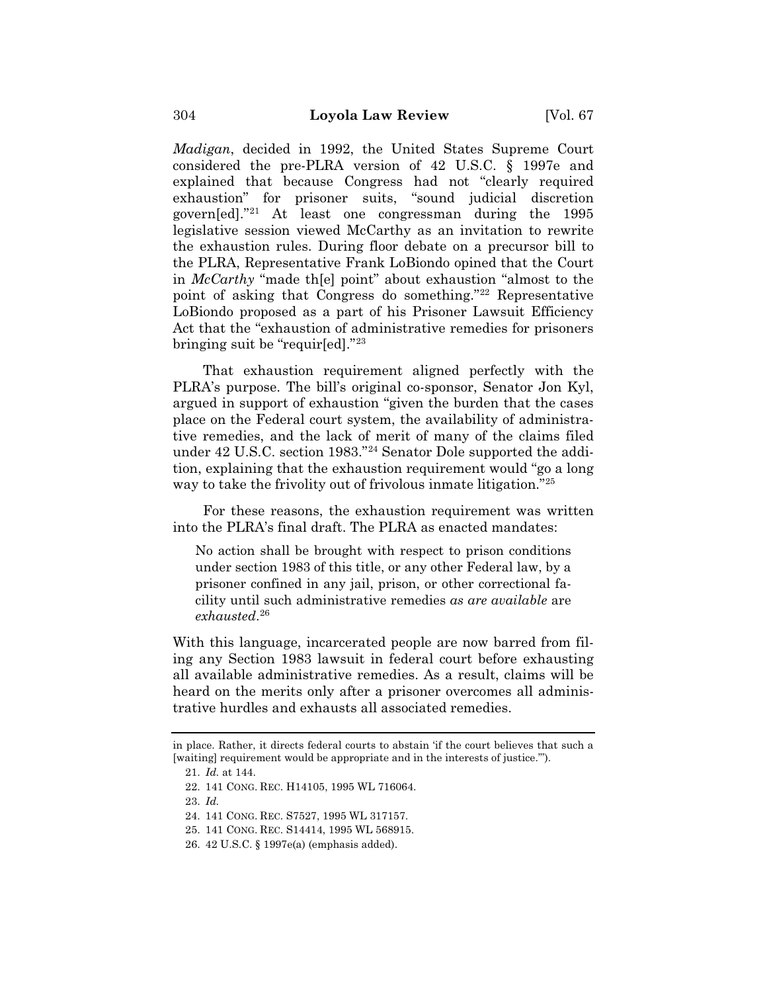*Madigan*, decided in 1992, the United States Supreme Court considered the pre-PLRA version of 42 U.S.C. § 1997e and explained that because Congress had not "clearly required exhaustion" for prisoner suits, "sound judicial discretion govern[ed]."21 At least one congressman during the 1995 legislative session viewed McCarthy as an invitation to rewrite the exhaustion rules. During floor debate on a precursor bill to the PLRA, Representative Frank LoBiondo opined that the Court in *McCarthy* "made th[e] point" about exhaustion "almost to the point of asking that Congress do something."22 Representative LoBiondo proposed as a part of his Prisoner Lawsuit Efficiency Act that the "exhaustion of administrative remedies for prisoners bringing suit be "requir[ed]."23

That exhaustion requirement aligned perfectly with the PLRA's purpose. The bill's original co-sponsor, Senator Jon Kyl, argued in support of exhaustion "given the burden that the cases place on the Federal court system, the availability of administrative remedies, and the lack of merit of many of the claims filed under 42 U.S.C. section 1983."24 Senator Dole supported the addition, explaining that the exhaustion requirement would "go a long way to take the frivolity out of frivolous inmate litigation."<sup>25</sup>

For these reasons, the exhaustion requirement was written into the PLRA's final draft. The PLRA as enacted mandates:

No action shall be brought with respect to prison conditions under section 1983 of this title, or any other Federal law, by a prisoner confined in any jail, prison, or other correctional facility until such administrative remedies *as are available* are *exhausted*. 26

With this language, incarcerated people are now barred from filing any Section 1983 lawsuit in federal court before exhausting all available administrative remedies. As a result, claims will be heard on the merits only after a prisoner overcomes all administrative hurdles and exhausts all associated remedies.

in place. Rather, it directs federal courts to abstain 'if the court believes that such a [waiting] requirement would be appropriate and in the interests of justice.'").

<sup>21.</sup> *Id.* at 144.

<sup>22. 141</sup> CONG. REC. H14105, 1995 WL 716064.

<sup>23.</sup> *Id.*

<sup>24. 141</sup> CONG. REC. S7527, 1995 WL 317157.

<sup>25. 141</sup> CONG. REC. S14414, 1995 WL 568915.

<sup>26. 42</sup> U.S.C. § 1997e(a) (emphasis added).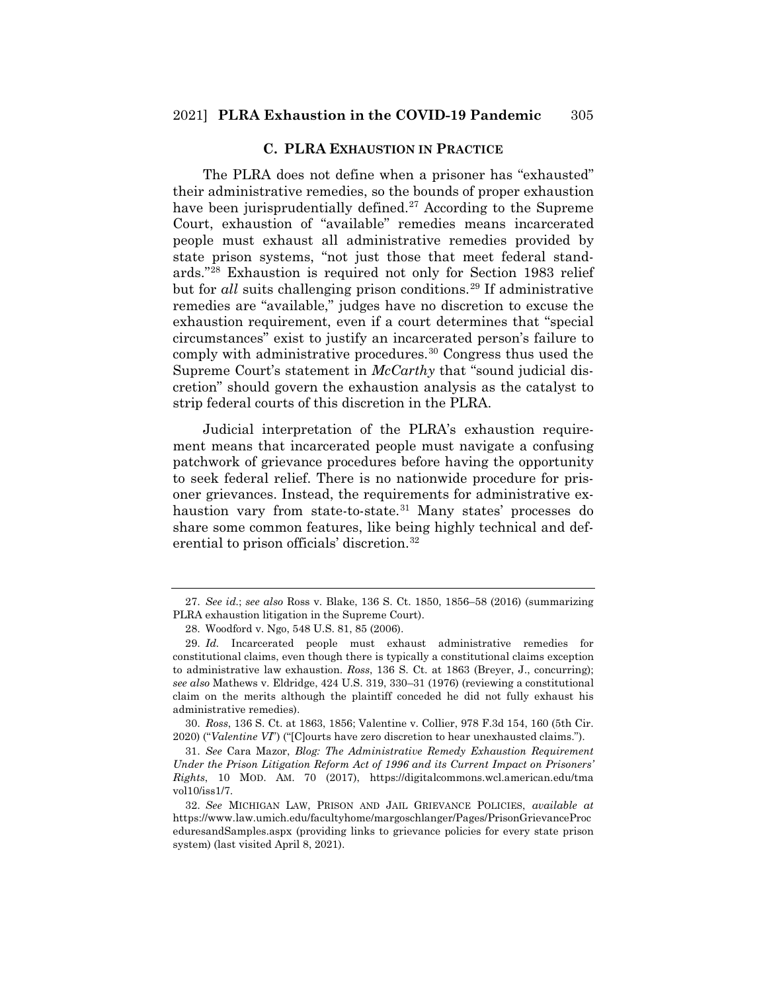#### **C. PLRA EXHAUSTION IN PRACTICE**

The PLRA does not define when a prisoner has "exhausted" their administrative remedies, so the bounds of proper exhaustion have been jurisprudentially defined.<sup>27</sup> According to the Supreme Court, exhaustion of "available" remedies means incarcerated people must exhaust all administrative remedies provided by state prison systems, "not just those that meet federal standards."28 Exhaustion is required not only for Section 1983 relief but for *all* suits challenging prison conditions.<sup>29</sup> If administrative remedies are "available," judges have no discretion to excuse the exhaustion requirement, even if a court determines that "special circumstances" exist to justify an incarcerated person's failure to comply with administrative procedures.30 Congress thus used the Supreme Court's statement in *McCarthy* that "sound judicial discretion" should govern the exhaustion analysis as the catalyst to strip federal courts of this discretion in the PLRA.

Judicial interpretation of the PLRA's exhaustion requirement means that incarcerated people must navigate a confusing patchwork of grievance procedures before having the opportunity to seek federal relief. There is no nationwide procedure for prisoner grievances. Instead, the requirements for administrative exhaustion vary from state-to-state.<sup>31</sup> Many states' processes do share some common features, like being highly technical and deferential to prison officials' discretion.<sup>32</sup>

30. *Ross*, 136 S. Ct. at 1863, 1856; Valentine v. Collier, 978 F.3d 154, 160 (5th Cir. 2020) ("*Valentine VI*") ("[C]ourts have zero discretion to hear unexhausted claims.").

31. *See* Cara Mazor, *Blog: The Administrative Remedy Exhaustion Requirement Under the Prison Litigation Reform Act of 1996 and its Current Impact on Prisoners' Rights*, 10 MOD. AM. 70 (2017), https://digitalcommons.wcl.american.edu/tma vol10/iss1/7.

32. *See* MICHIGAN LAW, PRISON AND JAIL GRIEVANCE POLICIES, *available at*  https://www.law.umich.edu/facultyhome/margoschlanger/Pages/PrisonGrievanceProc eduresandSamples.aspx (providing links to grievance policies for every state prison system) (last visited April 8, 2021).

<sup>27.</sup> *See id.*; *see also* Ross v. Blake, 136 S. Ct. 1850, 1856–58 (2016) (summarizing PLRA exhaustion litigation in the Supreme Court).

<sup>28.</sup> Woodford v. Ngo, 548 U.S. 81, 85 (2006).

<sup>29.</sup> *Id.* Incarcerated people must exhaust administrative remedies for constitutional claims, even though there is typically a constitutional claims exception to administrative law exhaustion. *Ross*, 136 S. Ct. at 1863 (Breyer, J., concurring); *see also* Mathews v. Eldridge, 424 U.S. 319, 330–31 (1976) (reviewing a constitutional claim on the merits although the plaintiff conceded he did not fully exhaust his administrative remedies).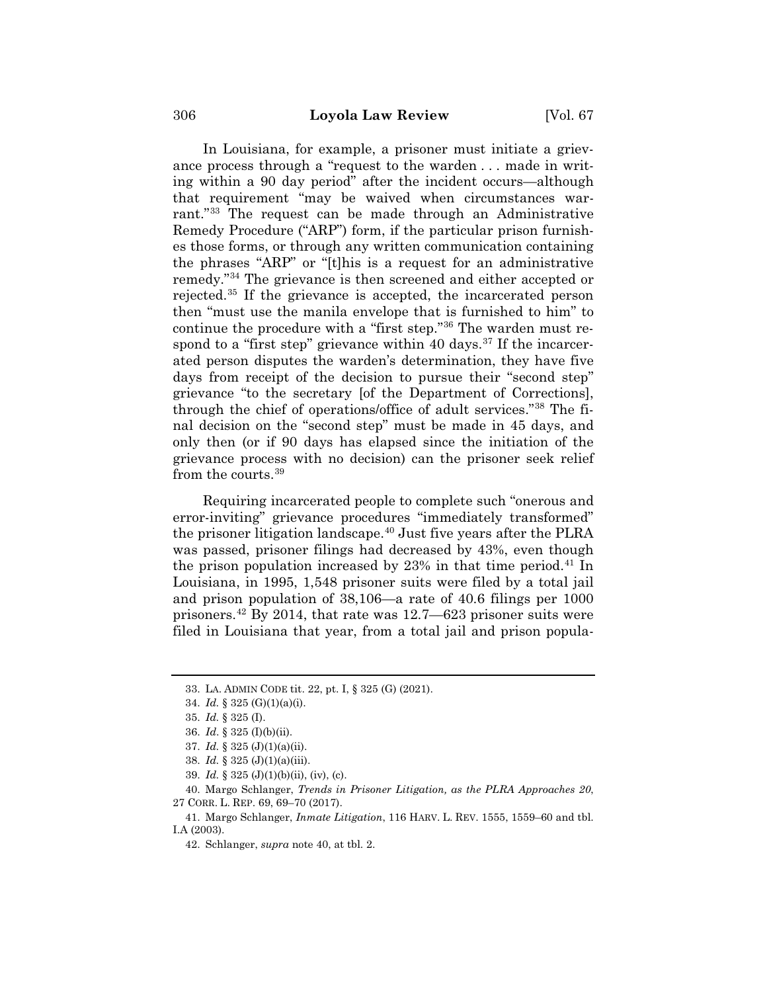In Louisiana, for example, a prisoner must initiate a grievance process through a "request to the warden . . . made in writing within a 90 day period" after the incident occurs—although that requirement "may be waived when circumstances warrant."33 The request can be made through an Administrative Remedy Procedure ("ARP") form, if the particular prison furnishes those forms, or through any written communication containing the phrases "ARP" or "[t]his is a request for an administrative remedy."34 The grievance is then screened and either accepted or rejected.35 If the grievance is accepted, the incarcerated person then "must use the manila envelope that is furnished to him" to continue the procedure with a "first step."36 The warden must respond to a "first step" grievance within 40 days. $37$  If the incarcerated person disputes the warden's determination, they have five days from receipt of the decision to pursue their "second step" grievance "to the secretary [of the Department of Corrections], through the chief of operations/office of adult services."38 The final decision on the "second step" must be made in 45 days, and only then (or if 90 days has elapsed since the initiation of the grievance process with no decision) can the prisoner seek relief from the courts.39

Requiring incarcerated people to complete such "onerous and error-inviting" grievance procedures "immediately transformed" the prisoner litigation landscape.40 Just five years after the PLRA was passed, prisoner filings had decreased by 43%, even though the prison population increased by  $23\%$  in that time period.<sup>41</sup> In Louisiana, in 1995, 1,548 prisoner suits were filed by a total jail and prison population of 38,106—a rate of 40.6 filings per 1000 prisoners.42 By 2014, that rate was 12.7—623 prisoner suits were filed in Louisiana that year, from a total jail and prison popula-

<sup>33.</sup> LA. ADMIN CODE tit. 22, pt. I, § 325 (G) (2021).

<sup>34.</sup> *Id.* § 325 (G)(1)(a)(i).

<sup>35.</sup> *Id.* § 325 (I).

<sup>36.</sup> *Id*. § 325 (I)(b)(ii).

<sup>37.</sup> *Id.* § 325 (J)(1)(a)(ii).

<sup>38.</sup> *Id.* § 325 (J)(1)(a)(iii).

<sup>39.</sup> *Id.* § 325 (J)(1)(b)(ii), (iv), (c).

<sup>40.</sup> Margo Schlanger, *Trends in Prisoner Litigation, as the PLRA Approaches 20*, 27 CORR. L. REP. 69, 69–70 (2017).

<sup>41.</sup> Margo Schlanger, *Inmate Litigation*, 116 HARV. L. REV. 1555, 1559–60 and tbl. I.A (2003).

<sup>42.</sup> Schlanger, *supra* note 40, at tbl. 2.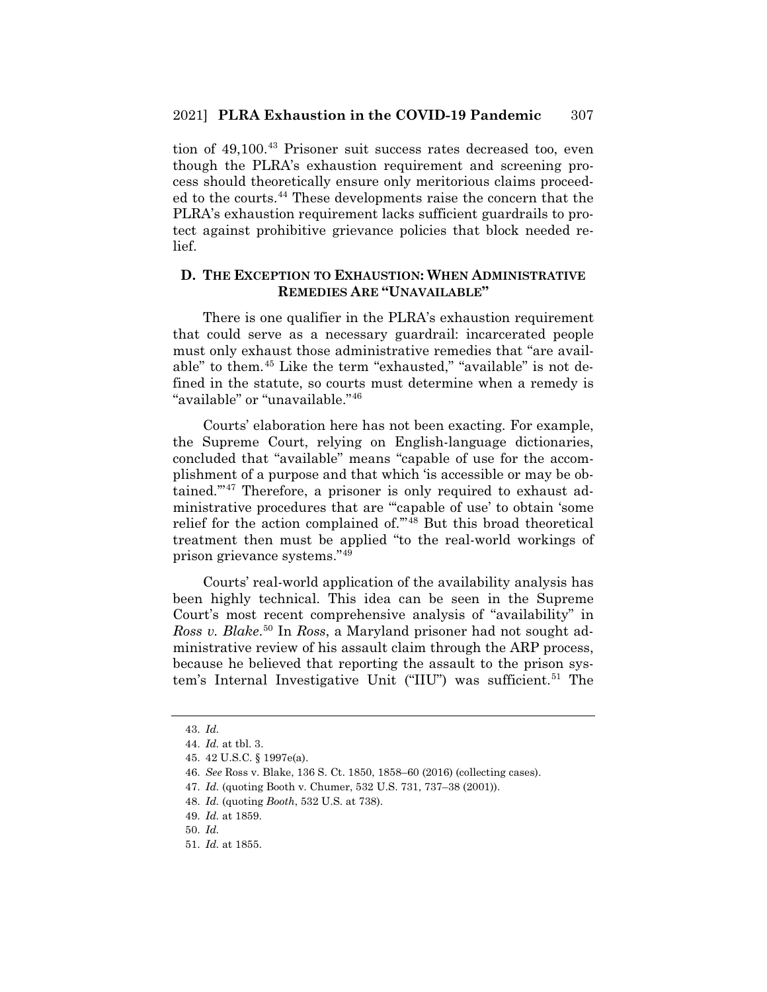tion of 49,100.<sup>43</sup> Prisoner suit success rates decreased too, even though the PLRA's exhaustion requirement and screening process should theoretically ensure only meritorious claims proceeded to the courts.44 These developments raise the concern that the PLRA's exhaustion requirement lacks sufficient guardrails to protect against prohibitive grievance policies that block needed relief.

# **D. THE EXCEPTION TO EXHAUSTION: WHEN ADMINISTRATIVE REMEDIES ARE "UNAVAILABLE"**

There is one qualifier in the PLRA's exhaustion requirement that could serve as a necessary guardrail: incarcerated people must only exhaust those administrative remedies that "are available" to them.45 Like the term "exhausted," "available" is not defined in the statute, so courts must determine when a remedy is "available" or "unavailable."46

Courts' elaboration here has not been exacting. For example, the Supreme Court, relying on English-language dictionaries, concluded that "available" means "capable of use for the accomplishment of a purpose and that which 'is accessible or may be obtained.'"47 Therefore, a prisoner is only required to exhaust administrative procedures that are "'capable of use' to obtain 'some relief for the action complained of.'"48 But this broad theoretical treatment then must be applied "to the real-world workings of prison grievance systems."49

Courts' real-world application of the availability analysis has been highly technical. This idea can be seen in the Supreme Court's most recent comprehensive analysis of "availability" in *Ross v. Blake*. <sup>50</sup> In *Ross*, a Maryland prisoner had not sought administrative review of his assault claim through the ARP process, because he believed that reporting the assault to the prison system's Internal Investigative Unit ("IIU") was sufficient.<sup>51</sup> The

<sup>43.</sup> *Id.*

<sup>44.</sup> *Id.* at tbl. 3.

<sup>45. 42</sup> U.S.C. § 1997e(a).

<sup>46.</sup> *See* Ross v. Blake, 136 S. Ct. 1850, 1858–60 (2016) (collecting cases).

<sup>47.</sup> *Id.* (quoting Booth v. Chumer, 532 U.S. 731, 737–38 (2001)).

<sup>48.</sup> *Id.* (quoting *Booth*, 532 U.S. at 738).

<sup>49.</sup> *Id.* at 1859.

<sup>50.</sup> *Id.*

<sup>51.</sup> *Id.* at 1855.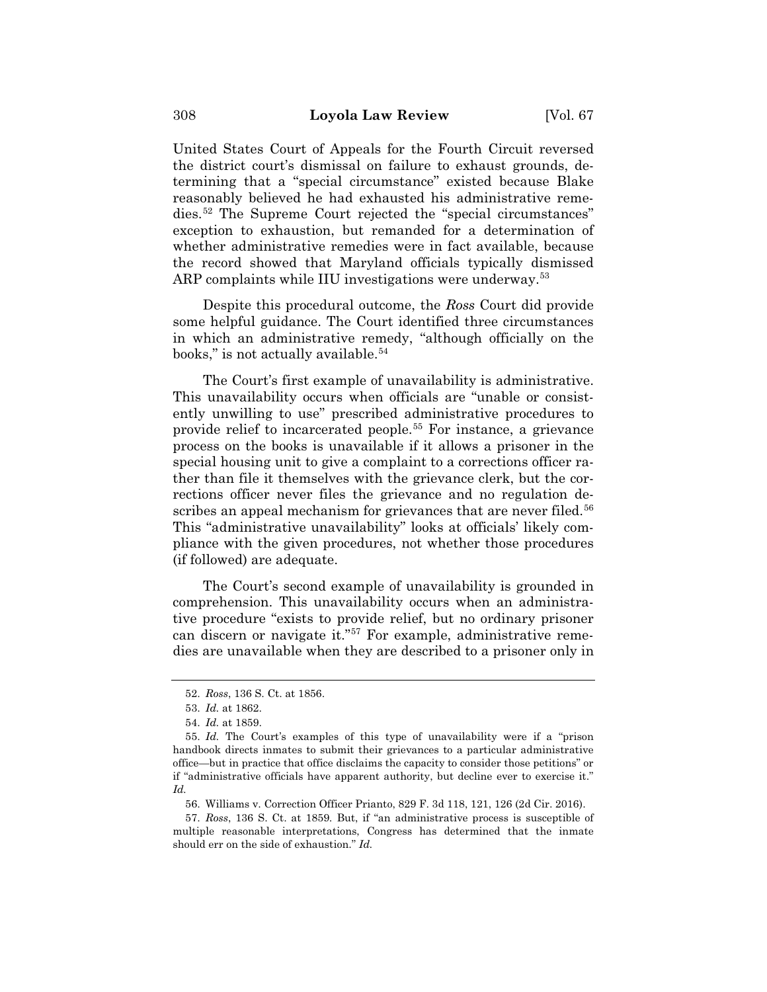United States Court of Appeals for the Fourth Circuit reversed the district court's dismissal on failure to exhaust grounds, determining that a "special circumstance" existed because Blake reasonably believed he had exhausted his administrative remedies.52 The Supreme Court rejected the "special circumstances" exception to exhaustion, but remanded for a determination of whether administrative remedies were in fact available, because the record showed that Maryland officials typically dismissed ARP complaints while IIU investigations were underway.<sup>53</sup>

Despite this procedural outcome, the *Ross* Court did provide some helpful guidance. The Court identified three circumstances in which an administrative remedy, "although officially on the books," is not actually available.<sup>54</sup>

The Court's first example of unavailability is administrative. This unavailability occurs when officials are "unable or consistently unwilling to use" prescribed administrative procedures to provide relief to incarcerated people.55 For instance, a grievance process on the books is unavailable if it allows a prisoner in the special housing unit to give a complaint to a corrections officer rather than file it themselves with the grievance clerk, but the corrections officer never files the grievance and no regulation describes an appeal mechanism for grievances that are never filed.<sup>56</sup> This "administrative unavailability" looks at officials' likely compliance with the given procedures, not whether those procedures (if followed) are adequate.

The Court's second example of unavailability is grounded in comprehension. This unavailability occurs when an administrative procedure "exists to provide relief, but no ordinary prisoner can discern or navigate it."57 For example, administrative remedies are unavailable when they are described to a prisoner only in

<sup>52.</sup> *Ross*, 136 S. Ct. at 1856.

<sup>53.</sup> *Id.* at 1862.

<sup>54.</sup> *Id.* at 1859.

<sup>55.</sup> *Id.* The Court's examples of this type of unavailability were if a "prison handbook directs inmates to submit their grievances to a particular administrative office—but in practice that office disclaims the capacity to consider those petitions" or if "administrative officials have apparent authority, but decline ever to exercise it." *Id.*

<sup>56.</sup> Williams v. Correction Officer Prianto, 829 F. 3d 118, 121, 126 (2d Cir. 2016).

<sup>57.</sup> *Ross*, 136 S. Ct. at 1859*.* But, if "an administrative process is susceptible of multiple reasonable interpretations, Congress has determined that the inmate should err on the side of exhaustion." *Id.*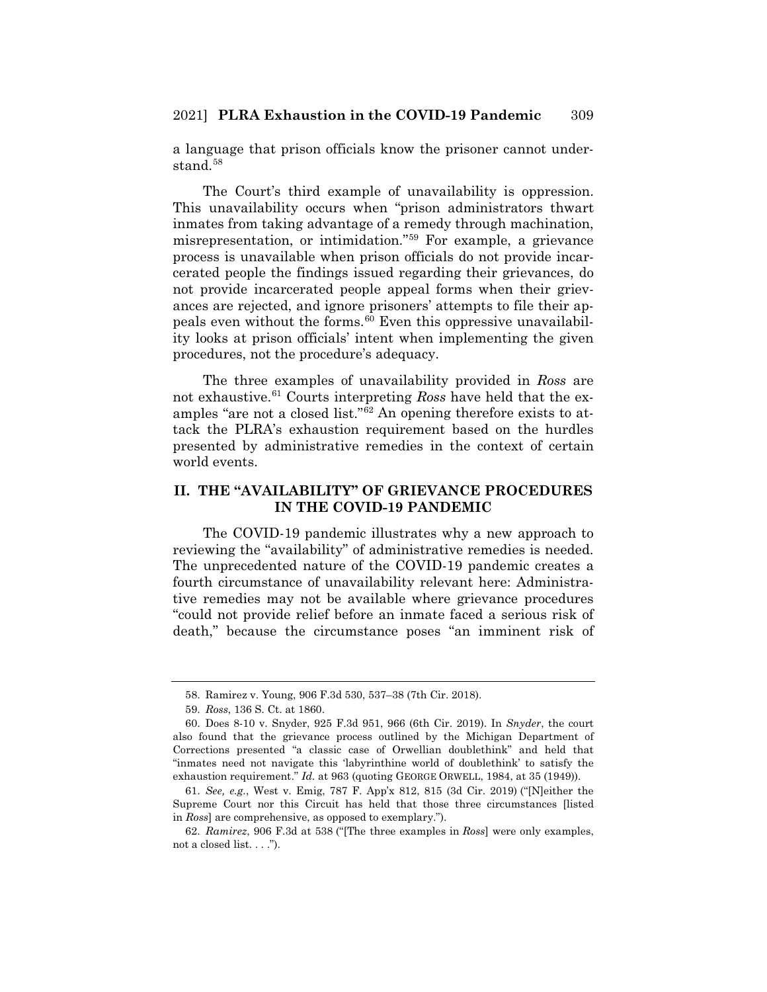a language that prison officials know the prisoner cannot understand.<sup>58</sup>

The Court's third example of unavailability is oppression. This unavailability occurs when "prison administrators thwart inmates from taking advantage of a remedy through machination, misrepresentation, or intimidation."59 For example, a grievance process is unavailable when prison officials do not provide incarcerated people the findings issued regarding their grievances, do not provide incarcerated people appeal forms when their grievances are rejected, and ignore prisoners' attempts to file their appeals even without the forms.60 Even this oppressive unavailability looks at prison officials' intent when implementing the given procedures, not the procedure's adequacy.

The three examples of unavailability provided in *Ross* are not exhaustive.61 Courts interpreting *Ross* have held that the examples "are not a closed list."62 An opening therefore exists to attack the PLRA's exhaustion requirement based on the hurdles presented by administrative remedies in the context of certain world events.

# **II. THE "AVAILABILITY" OF GRIEVANCE PROCEDURES IN THE COVID-19 PANDEMIC**

The COVID-19 pandemic illustrates why a new approach to reviewing the "availability" of administrative remedies is needed. The unprecedented nature of the COVID-19 pandemic creates a fourth circumstance of unavailability relevant here: Administrative remedies may not be available where grievance procedures "could not provide relief before an inmate faced a serious risk of death," because the circumstance poses "an imminent risk of

<sup>58.</sup> Ramirez v. Young, 906 F.3d 530, 537–38 (7th Cir. 2018).

<sup>59.</sup> *Ross*, 136 S. Ct. at 1860.

<sup>60.</sup> Does 8-10 v. Snyder, 925 F.3d 951, 966 (6th Cir. 2019). In *Snyder*, the court also found that the grievance process outlined by the Michigan Department of Corrections presented "a classic case of Orwellian doublethink" and held that "inmates need not navigate this 'labyrinthine world of doublethink' to satisfy the exhaustion requirement." *Id.* at 963 (quoting GEORGE ORWELL, 1984, at 35 (1949)).

<sup>61.</sup> *See, e.g.*, West v. Emig, 787 F. App'x 812, 815 (3d Cir. 2019) ("[N]either the Supreme Court nor this Circuit has held that those three circumstances [listed in *Ross*] are comprehensive, as opposed to exemplary.").

<sup>62.</sup> *Ramirez*, 906 F.3d at 538 ("[The three examples in *Ross*] were only examples, not a closed list. . . .").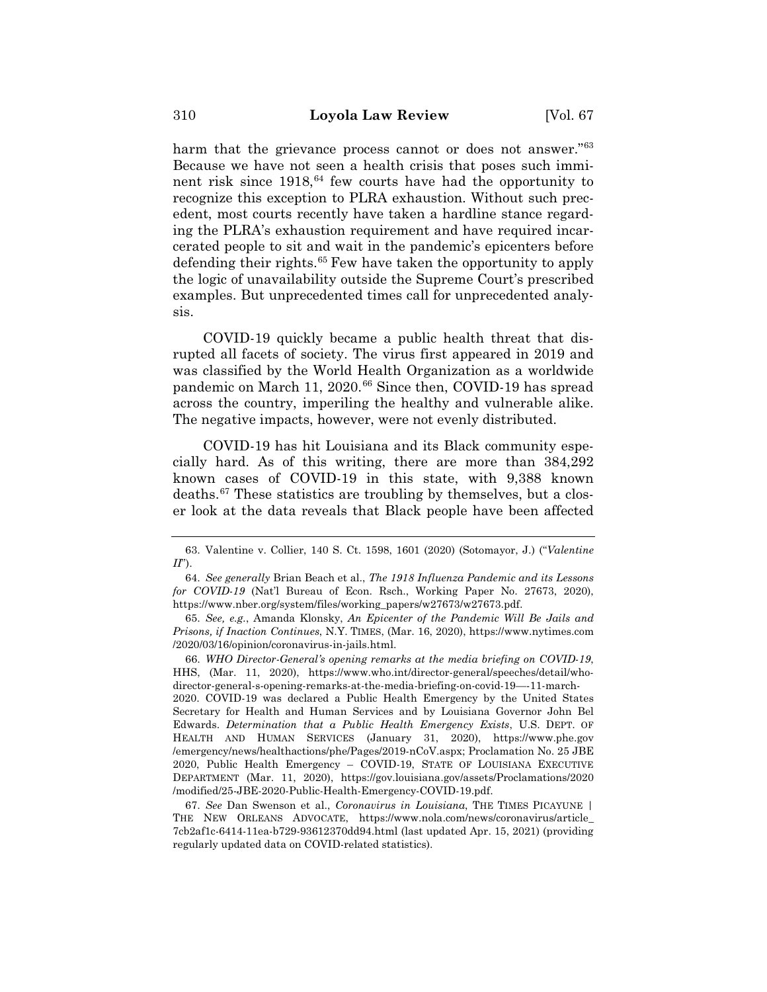harm that the grievance process cannot or does not answer."<sup>63</sup> Because we have not seen a health crisis that poses such imminent risk since  $1918$ ,  $64$  few courts have had the opportunity to recognize this exception to PLRA exhaustion. Without such precedent, most courts recently have taken a hardline stance regarding the PLRA's exhaustion requirement and have required incarcerated people to sit and wait in the pandemic's epicenters before defending their rights.65 Few have taken the opportunity to apply the logic of unavailability outside the Supreme Court's prescribed examples. But unprecedented times call for unprecedented analysis.

COVID-19 quickly became a public health threat that disrupted all facets of society. The virus first appeared in 2019 and was classified by the World Health Organization as a worldwide pandemic on March 11, 2020.<sup>66</sup> Since then, COVID-19 has spread across the country, imperiling the healthy and vulnerable alike. The negative impacts, however, were not evenly distributed.

COVID-19 has hit Louisiana and its Black community especially hard. As of this writing, there are more than 384,292 known cases of COVID-19 in this state, with 9,388 known deaths.67 These statistics are troubling by themselves, but a closer look at the data reveals that Black people have been affected

2020. COVID-19 was declared a Public Health Emergency by the United States Secretary for Health and Human Services and by Louisiana Governor John Bel Edwards. *Determination that a Public Health Emergency Exists*, U.S. DEPT. OF HEALTH AND HUMAN SERVICES (January 31, 2020), https://www.phe.gov /emergency/news/healthactions/phe/Pages/2019-nCoV.aspx; Proclamation No. 25 JBE 2020, Public Health Emergency – COVID-19, STATE OF LOUISIANA EXECUTIVE DEPARTMENT (Mar. 11, 2020), https://gov.louisiana.gov/assets/Proclamations/2020 /modified/25-JBE-2020-Public-Health-Emergency-COVID-19.pdf.

67. *See* Dan Swenson et al., *Coronavirus in Louisiana*, THE TIMES PICAYUNE | THE NEW ORLEANS ADVOCATE, https://www.nola.com/news/coronavirus/article\_ 7cb2af1c-6414-11ea-b729-93612370dd94.html (last updated Apr. 15, 2021) (providing regularly updated data on COVID-related statistics).

<sup>63.</sup> Valentine v. Collier, 140 S. Ct. 1598, 1601 (2020) (Sotomayor, J.) ("*Valentine II*").

<sup>64.</sup> *See generally* Brian Beach et al., *The 1918 Influenza Pandemic and its Lessons for COVID-19* (Nat'l Bureau of Econ. Rsch., Working Paper No. 27673, 2020), https://www.nber.org/system/files/working\_papers/w27673/w27673.pdf.

<sup>65.</sup> *See, e.g.*, Amanda Klonsky, *An Epicenter of the Pandemic Will Be Jails and Prisons, if Inaction Continues*, N.Y. TIMES, (Mar. 16, 2020), https://www.nytimes.com /2020/03/16/opinion/coronavirus-in-jails.html.

<sup>66.</sup> *WHO Director-General's opening remarks at the media briefing on COVID-19*, HHS, (Mar. 11, 2020), https://www.who.int/director-general/speeches/detail/whodirector-general-s-opening-remarks-at-the-media-briefing-on-covid-19—-11-march-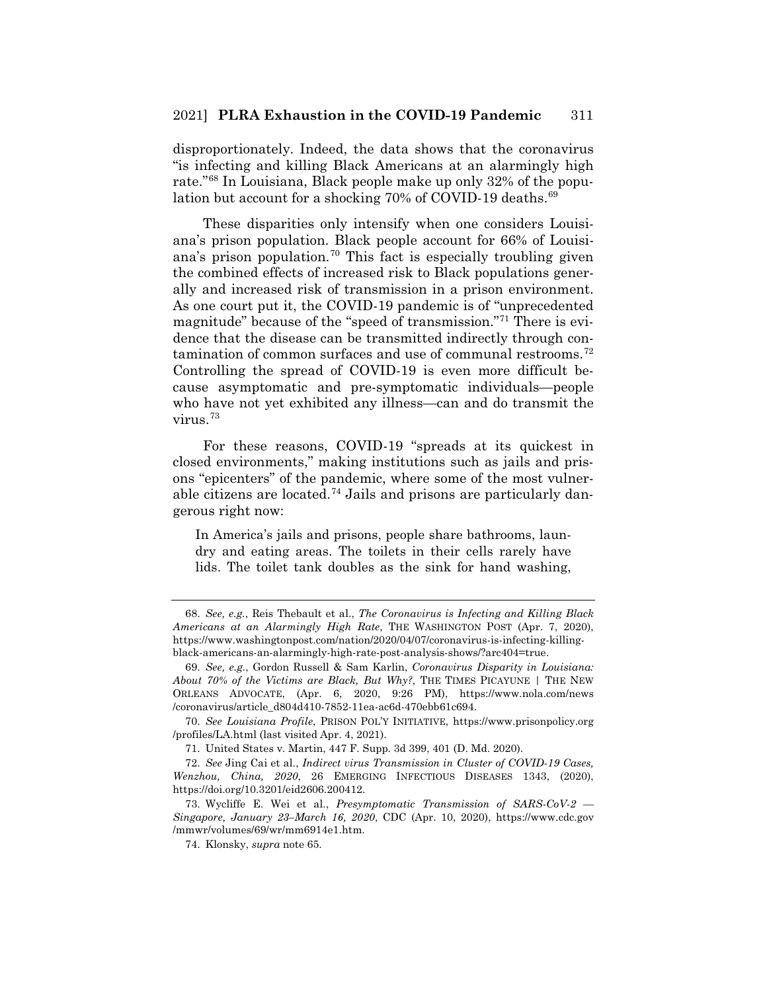disproportionately. Indeed, the data shows that the coronavirus "is infecting and killing Black Americans at an alarmingly high rate."68 In Louisiana, Black people make up only 32% of the population but account for a shocking 70% of COVID-19 deaths.<sup>69</sup>

These disparities only intensify when one considers Louisiana's prison population. Black people account for 66% of Louisiana's prison population.<sup>70</sup> This fact is especially troubling given the combined effects of increased risk to Black populations generally and increased risk of transmission in a prison environment. As one court put it, the COVID-19 pandemic is of "unprecedented magnitude" because of the "speed of transmission."71 There is evidence that the disease can be transmitted indirectly through contamination of common surfaces and use of communal restrooms.72 Controlling the spread of COVID-19 is even more difficult because asymptomatic and pre-symptomatic individuals—people who have not yet exhibited any illness—can and do transmit the virus.73

For these reasons, COVID-19 "spreads at its quickest in closed environments," making institutions such as jails and prisons "epicenters" of the pandemic, where some of the most vulnerable citizens are located.<sup>74</sup> Jails and prisons are particularly dangerous right now:

In America's jails and prisons, people share bathrooms, laundry and eating areas. The toilets in their cells rarely have lids. The toilet tank doubles as the sink for hand washing,

<sup>68.</sup> *See, e.g.*, Reis Thebault et al., *The Coronavirus is Infecting and Killing Black Americans at an Alarmingly High Rate*, THE WASHINGTON POST (Apr. 7, 2020), https://www.washingtonpost.com/nation/2020/04/07/coronavirus-is-infecting-killingblack-americans-an-alarmingly-high-rate-post-analysis-shows/?arc404=true.

<sup>69.</sup> *See, e.g.*, Gordon Russell & Sam Karlin, *Coronavirus Disparity in Louisiana: About 70% of the Victims are Black, But Why?*, THE TIMES PICAYUNE | THE NEW ORLEANS ADVOCATE, (Apr. 6, 2020, 9:26 PM), https://www.nola.com/news /coronavirus/article\_d804d410-7852-11ea-ac6d-470ebb61c694.

<sup>70.</sup> *See Louisiana Profile*, PRISON POL'Y INITIATIVE, https://www.prisonpolicy.org /profiles/LA.html (last visited Apr. 4, 2021).

<sup>71.</sup> United States v. Martin, 447 F. Supp. 3d 399, 401 (D. Md. 2020).

<sup>72.</sup> *See* Jing Cai et al., *Indirect virus Transmission in Cluster of COVID-19 Cases, Wenzhou, China, 2020*, 26 EMERGING INFECTIOUS DISEASES 1343, (2020), https://doi.org/10.3201/eid2606.200412.

<sup>73.</sup> Wycliffe E. Wei et al., *Presymptomatic Transmission of SARS-CoV-2 — Singapore, January 23–March 16, 2020*, CDC (Apr. 10, 2020), https://www.cdc.gov /mmwr/volumes/69/wr/mm6914e1.htm.

<sup>74.</sup> Klonsky, *supra* note 65.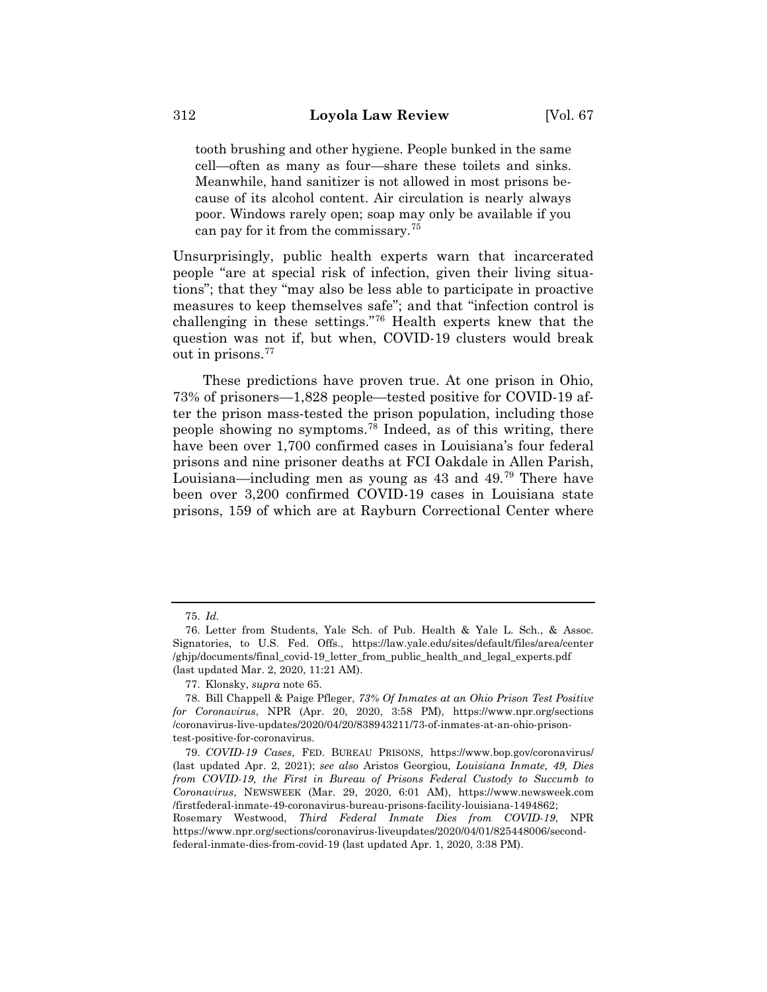tooth brushing and other hygiene. People bunked in the same cell—often as many as four—share these toilets and sinks. Meanwhile, hand sanitizer is not allowed in most prisons because of its alcohol content. Air circulation is nearly always poor. Windows rarely open; soap may only be available if you can pay for it from the commissary.<sup>75</sup>

Unsurprisingly, public health experts warn that incarcerated people "are at special risk of infection, given their living situations"; that they "may also be less able to participate in proactive measures to keep themselves safe"; and that "infection control is challenging in these settings."76 Health experts knew that the question was not if, but when, COVID-19 clusters would break out in prisons.77

These predictions have proven true. At one prison in Ohio, 73% of prisoners—1,828 people—tested positive for COVID-19 after the prison mass-tested the prison population, including those people showing no symptoms.78 Indeed, as of this writing, there have been over 1,700 confirmed cases in Louisiana's four federal prisons and nine prisoner deaths at FCI Oakdale in Allen Parish, Louisiana—including men as young as 43 and 49.79 There have been over 3,200 confirmed COVID-19 cases in Louisiana state prisons, 159 of which are at Rayburn Correctional Center where

federal-inmate-dies-from-covid-19 (last updated Apr. 1, 2020, 3:38 PM).

<sup>75.</sup> *Id.*

<sup>76.</sup> Letter from Students, Yale Sch. of Pub. Health & Yale L. Sch., & Assoc. Signatories, to U.S. Fed. Offs., https://law.yale.edu/sites/default/files/area/center /ghjp/documents/final\_covid-19\_letter\_from\_public\_health\_and\_legal\_experts.pdf (last updated Mar. 2, 2020, 11:21 AM).

<sup>77.</sup> Klonsky, *supra* note 65.

<sup>78.</sup> Bill Chappell & Paige Pfleger, *73% Of Inmates at an Ohio Prison Test Positive for Coronavirus*, NPR (Apr. 20, 2020, 3:58 PM), https://www.npr.org/sections /coronavirus-live-updates/2020/04/20/838943211/73-of-inmates-at-an-ohio-prisontest-positive-for-coronavirus.

<sup>79.</sup> *COVID-19 Cases*, FED. BUREAU PRISONS, https://www.bop.gov/coronavirus/ (last updated Apr. 2, 2021); *see also* Aristos Georgiou*, Louisiana Inmate, 49, Dies from COVID-19, the First in Bureau of Prisons Federal Custody to Succumb to Coronavirus*, NEWSWEEK (Mar. 29, 2020, 6:01 AM), https://www.newsweek.com /firstfederal-inmate-49-coronavirus-bureau-prisons-facility-louisiana-1494862; Rosemary Westwood, *Third Federal Inmate Dies from COVID-19*, NPR https://www.npr.org/sections/coronavirus-liveupdates/2020/04/01/825448006/second-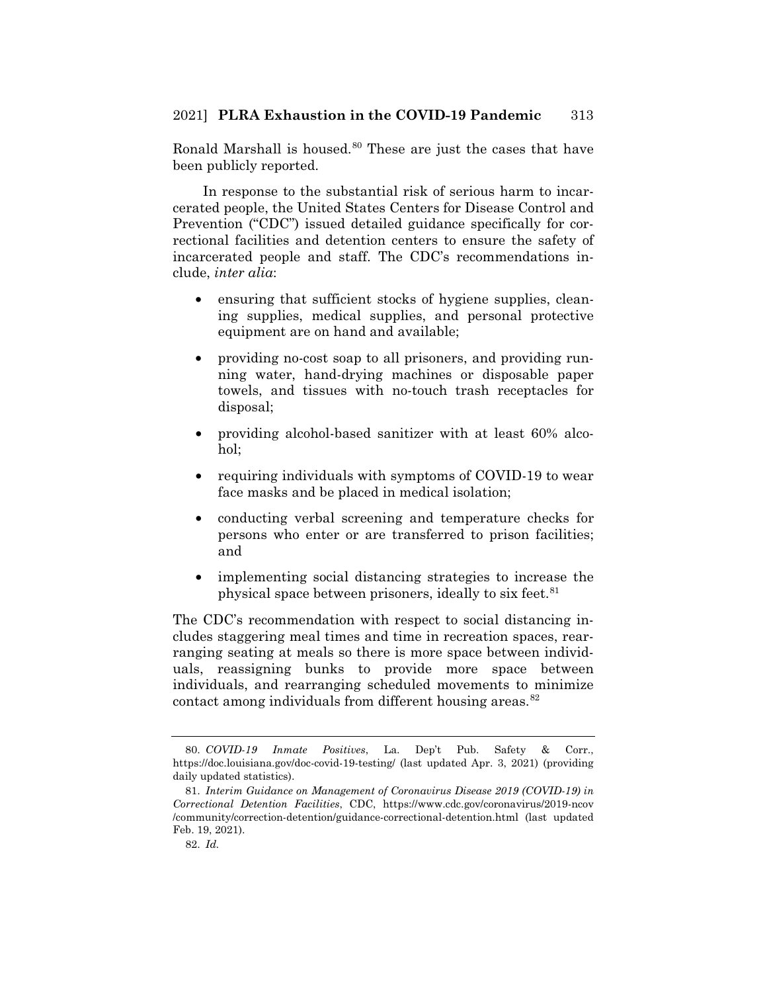Ronald Marshall is housed. $80$  These are just the cases that have been publicly reported.

In response to the substantial risk of serious harm to incarcerated people, the United States Centers for Disease Control and Prevention ("CDC") issued detailed guidance specifically for correctional facilities and detention centers to ensure the safety of incarcerated people and staff. The CDC's recommendations include, *inter alia*:

- ensuring that sufficient stocks of hygiene supplies, cleaning supplies, medical supplies, and personal protective equipment are on hand and available;
- providing no-cost soap to all prisoners, and providing running water, hand-drying machines or disposable paper towels, and tissues with no-touch trash receptacles for disposal;
- providing alcohol-based sanitizer with at least 60% alcohol;
- requiring individuals with symptoms of COVID-19 to wear face masks and be placed in medical isolation;
- conducting verbal screening and temperature checks for persons who enter or are transferred to prison facilities; and
- implementing social distancing strategies to increase the physical space between prisoners, ideally to six feet.<sup>81</sup>

The CDC's recommendation with respect to social distancing includes staggering meal times and time in recreation spaces, rearranging seating at meals so there is more space between individuals, reassigning bunks to provide more space between individuals, and rearranging scheduled movements to minimize contact among individuals from different housing areas.<sup>82</sup>

<sup>80.</sup> *COVID-19 Inmate Positives*, La. Dep't Pub. Safety & Corr., https://doc.louisiana.gov/doc-covid-19-testing/ (last updated Apr. 3, 2021) (providing daily updated statistics).

<sup>81.</sup> *Interim Guidance on Management of Coronavirus Disease 2019 (COVID-19) in Correctional Detention Facilities*, CDC, https://www.cdc.gov/coronavirus/2019-ncov /community/correction-detention/guidance-correctional-detention.html (last updated Feb. 19, 2021).

<sup>82.</sup> *Id.*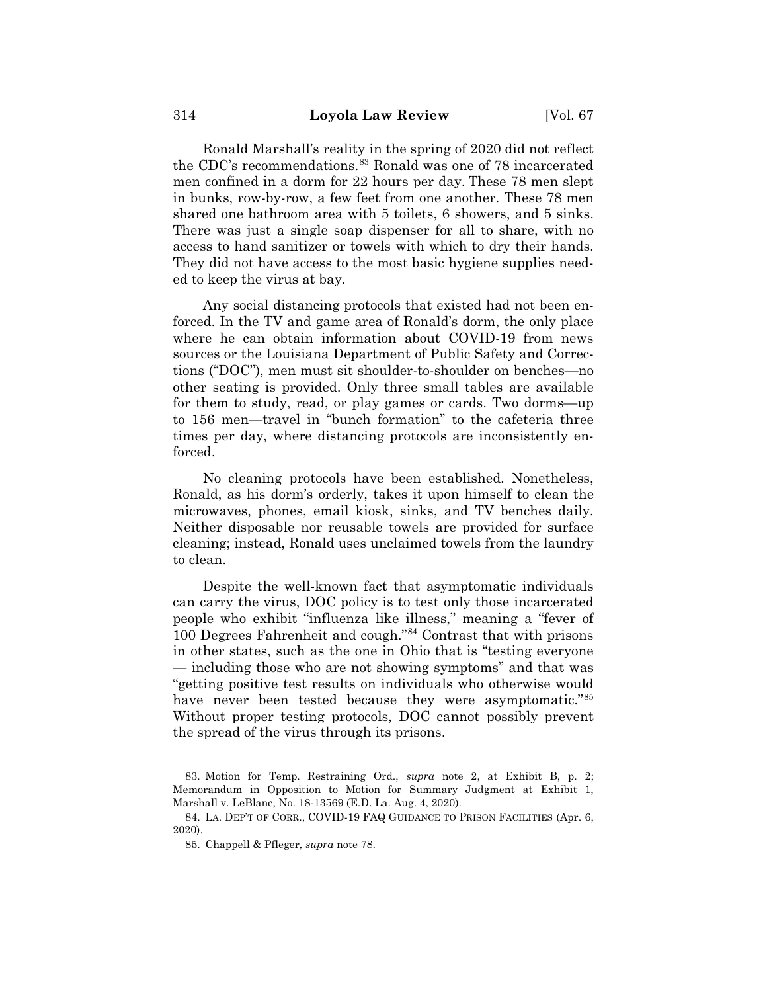Ronald Marshall's reality in the spring of 2020 did not reflect the CDC's recommendations.<sup>83</sup> Ronald was one of 78 incarcerated men confined in a dorm for 22 hours per day. These 78 men slept in bunks, row-by-row, a few feet from one another. These 78 men shared one bathroom area with 5 toilets, 6 showers, and 5 sinks. There was just a single soap dispenser for all to share, with no access to hand sanitizer or towels with which to dry their hands. They did not have access to the most basic hygiene supplies needed to keep the virus at bay.

Any social distancing protocols that existed had not been enforced. In the TV and game area of Ronald's dorm, the only place where he can obtain information about COVID-19 from news sources or the Louisiana Department of Public Safety and Corrections ("DOC"), men must sit shoulder-to-shoulder on benches—no other seating is provided. Only three small tables are available for them to study, read, or play games or cards. Two dorms—up to 156 men—travel in "bunch formation" to the cafeteria three times per day, where distancing protocols are inconsistently enforced.

No cleaning protocols have been established. Nonetheless, Ronald, as his dorm's orderly, takes it upon himself to clean the microwaves, phones, email kiosk, sinks, and TV benches daily. Neither disposable nor reusable towels are provided for surface cleaning; instead, Ronald uses unclaimed towels from the laundry to clean.

Despite the well-known fact that asymptomatic individuals can carry the virus, DOC policy is to test only those incarcerated people who exhibit "influenza like illness," meaning a "fever of 100 Degrees Fahrenheit and cough."84 Contrast that with prisons in other states, such as the one in Ohio that is "testing everyone — including those who are not showing symptoms" and that was "getting positive test results on individuals who otherwise would have never been tested because they were asymptomatic."<sup>85</sup> Without proper testing protocols, DOC cannot possibly prevent the spread of the virus through its prisons.

<sup>83.</sup> Motion for Temp. Restraining Ord., *supra* note 2, at Exhibit B, p. 2; Memorandum in Opposition to Motion for Summary Judgment at Exhibit 1, Marshall v. LeBlanc, No. 18-13569 (E.D. La. Aug. 4, 2020).

<sup>84.</sup> LA. DEP'T OF CORR., COVID-19 FAQ GUIDANCE TO PRISON FACILITIES (Apr. 6, 2020).

<sup>85.</sup> Chappell & Pfleger, *supra* note 78.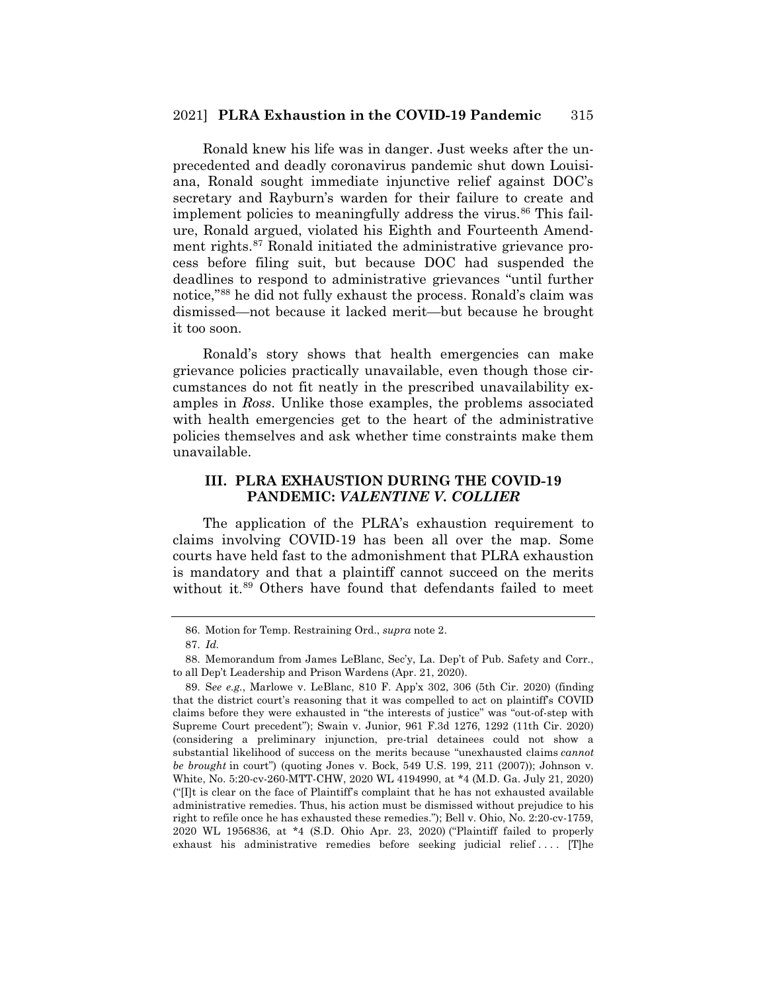#### 2021] **PLRA Exhaustion in the COVID-19 Pandemic** 315

Ronald knew his life was in danger. Just weeks after the unprecedented and deadly coronavirus pandemic shut down Louisiana, Ronald sought immediate injunctive relief against DOC's secretary and Rayburn's warden for their failure to create and implement policies to meaningfully address the virus. $86$  This failure, Ronald argued, violated his Eighth and Fourteenth Amendment rights.<sup>87</sup> Ronald initiated the administrative grievance process before filing suit, but because DOC had suspended the deadlines to respond to administrative grievances "until further notice,"88 he did not fully exhaust the process. Ronald's claim was dismissed—not because it lacked merit—but because he brought it too soon.

Ronald's story shows that health emergencies can make grievance policies practically unavailable, even though those circumstances do not fit neatly in the prescribed unavailability examples in *Ross*. Unlike those examples, the problems associated with health emergencies get to the heart of the administrative policies themselves and ask whether time constraints make them unavailable.

# **III. PLRA EXHAUSTION DURING THE COVID-19 PANDEMIC:** *VALENTINE V. COLLIER*

The application of the PLRA's exhaustion requirement to claims involving COVID-19 has been all over the map. Some courts have held fast to the admonishment that PLRA exhaustion is mandatory and that a plaintiff cannot succeed on the merits without it.<sup>89</sup> Others have found that defendants failed to meet

<sup>86.</sup> Motion for Temp. Restraining Ord., *supra* note 2.

<sup>87.</sup> *Id.* 

<sup>88.</sup> Memorandum from James LeBlanc, Sec'y, La. Dep't of Pub. Safety and Corr., to all Dep't Leadership and Prison Wardens (Apr. 21, 2020).

<sup>89.</sup> S*ee e.g.*, Marlowe v. LeBlanc, 810 F. App'x 302, 306 (5th Cir. 2020) (finding that the district court's reasoning that it was compelled to act on plaintiff's COVID claims before they were exhausted in "the interests of justice" was "out-of-step with Supreme Court precedent"); Swain v. Junior, 961 F.3d 1276, 1292 (11th Cir. 2020) (considering a preliminary injunction, pre-trial detainees could not show a substantial likelihood of success on the merits because "unexhausted claims *cannot be brought* in court") (quoting Jones v. Bock, 549 U.S. 199, 211 (2007)); Johnson v. White, No. 5:20-cv-260-MTT-CHW, 2020 WL 4194990, at \*4 (M.D. Ga. July 21, 2020) ("[I]t is clear on the face of Plaintiff's complaint that he has not exhausted available administrative remedies. Thus, his action must be dismissed without prejudice to his right to refile once he has exhausted these remedies."); Bell v. Ohio, No. 2:20-cv-1759, 2020 WL 1956836, at \*4 (S.D. Ohio Apr. 23, 2020) ("Plaintiff failed to properly exhaust his administrative remedies before seeking judicial relief .... [T]he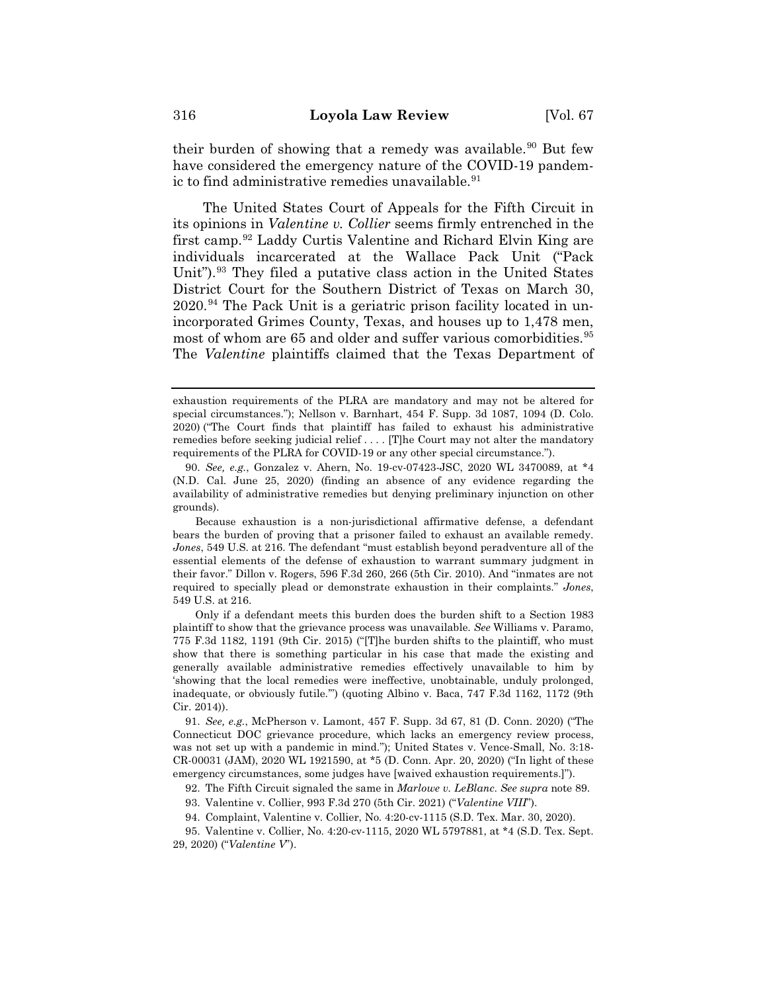their burden of showing that a remedy was available.<sup>90</sup> But few have considered the emergency nature of the COVID-19 pandemic to find administrative remedies unavailable.<sup>91</sup>

The United States Court of Appeals for the Fifth Circuit in its opinions in *Valentine v. Collier* seems firmly entrenched in the first camp.92 Laddy Curtis Valentine and Richard Elvin King are individuals incarcerated at the Wallace Pack Unit ("Pack Unit").<sup>93</sup> They filed a putative class action in the United States District Court for the Southern District of Texas on March 30, 2020.94 The Pack Unit is a geriatric prison facility located in unincorporated Grimes County, Texas, and houses up to 1,478 men, most of whom are 65 and older and suffer various comorbidities.<sup>95</sup> The *Valentine* plaintiffs claimed that the Texas Department of

Because exhaustion is a non-jurisdictional affirmative defense, a defendant bears the burden of proving that a prisoner failed to exhaust an available remedy. *Jones*, 549 U.S. at 216. The defendant "must establish beyond peradventure all of the essential elements of the defense of exhaustion to warrant summary judgment in their favor." Dillon v. Rogers, 596 F.3d 260, 266 (5th Cir. 2010). And "inmates are not required to specially plead or demonstrate exhaustion in their complaints." *Jones*, 549 U.S. at 216.

Only if a defendant meets this burden does the burden shift to a Section 1983 plaintiff to show that the grievance process was unavailable. *See* Williams v. Paramo, 775 F.3d 1182, 1191 (9th Cir. 2015) ("[T]he burden shifts to the plaintiff, who must show that there is something particular in his case that made the existing and generally available administrative remedies effectively unavailable to him by 'showing that the local remedies were ineffective, unobtainable, unduly prolonged, inadequate, or obviously futile.'") (quoting Albino v. Baca, 747 F.3d 1162, 1172 (9th Cir. 2014)).

91. *See, e.g.*, McPherson v. Lamont, 457 F. Supp. 3d 67, 81 (D. Conn. 2020) ("The Connecticut DOC grievance procedure, which lacks an emergency review process, was not set up with a pandemic in mind."); United States v. Vence-Small, No. 3:18- CR-00031 (JAM), 2020 WL 1921590, at \*5 (D. Conn. Apr. 20, 2020) ("In light of these emergency circumstances, some judges have [waived exhaustion requirements.]").

92. The Fifth Circuit signaled the same in *Marlowe v. LeBlanc*. *See supra* note 89.

93. Valentine v. Collier, 993 F.3d 270 (5th Cir. 2021) ("*Valentine VIII*").

94. Complaint, Valentine v. Collier, No. 4:20-cv-1115 (S.D. Tex. Mar. 30, 2020).

95. Valentine v. Collier, No. 4:20-cv-1115, 2020 WL 5797881, at \*4 (S.D. Tex. Sept. 29, 2020) ("*Valentine V*").

exhaustion requirements of the PLRA are mandatory and may not be altered for special circumstances."); Nellson v. Barnhart, 454 F. Supp. 3d 1087, 1094 (D. Colo. 2020) ("The Court finds that plaintiff has failed to exhaust his administrative remedies before seeking judicial relief . . . . [T]he Court may not alter the mandatory requirements of the PLRA for COVID-19 or any other special circumstance.").

<sup>90.</sup> *See, e.g.*, Gonzalez v. Ahern, No. 19-cv-07423-JSC, 2020 WL 3470089, at \*4 (N.D. Cal. June 25, 2020) (finding an absence of any evidence regarding the availability of administrative remedies but denying preliminary injunction on other grounds).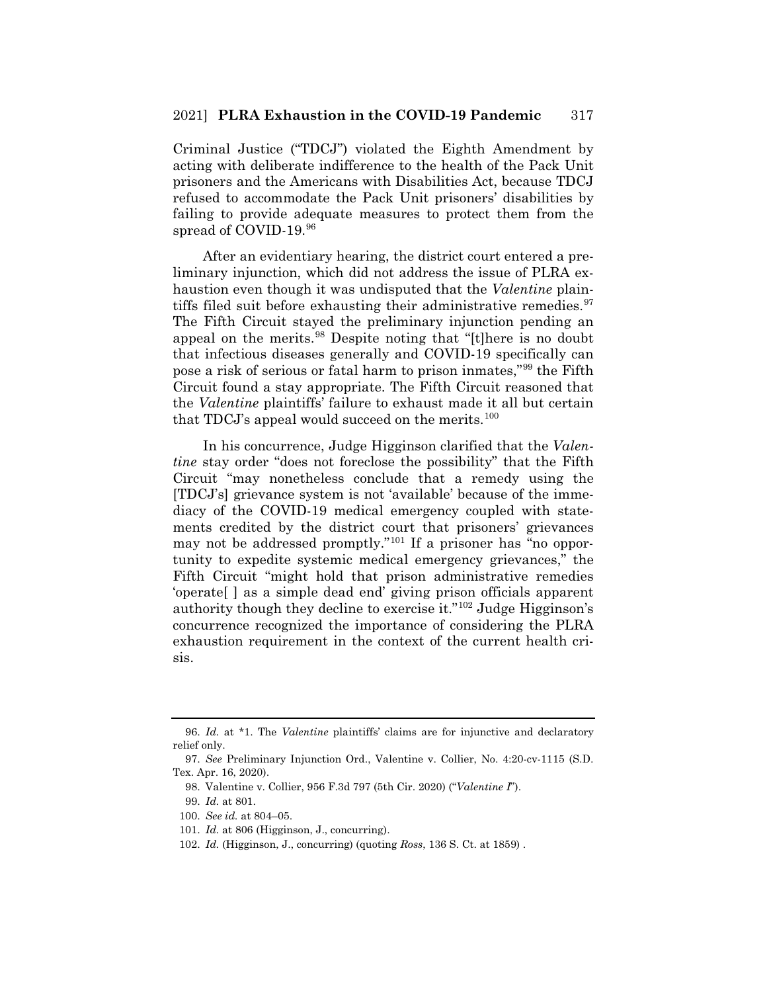Criminal Justice ("TDCJ") violated the Eighth Amendment by acting with deliberate indifference to the health of the Pack Unit prisoners and the Americans with Disabilities Act, because TDCJ refused to accommodate the Pack Unit prisoners' disabilities by failing to provide adequate measures to protect them from the spread of COVID-19.96

After an evidentiary hearing, the district court entered a preliminary injunction, which did not address the issue of PLRA exhaustion even though it was undisputed that the *Valentine* plaintiffs filed suit before exhausting their administrative remedies.  $97$ The Fifth Circuit stayed the preliminary injunction pending an appeal on the merits.98 Despite noting that "[t]here is no doubt that infectious diseases generally and COVID-19 specifically can pose a risk of serious or fatal harm to prison inmates,"99 the Fifth Circuit found a stay appropriate. The Fifth Circuit reasoned that the *Valentine* plaintiffs' failure to exhaust made it all but certain that TDCJ's appeal would succeed on the merits.<sup>100</sup>

In his concurrence, Judge Higginson clarified that the *Valentine* stay order "does not foreclose the possibility" that the Fifth Circuit "may nonetheless conclude that a remedy using the [TDCJ's] grievance system is not 'available' because of the immediacy of the COVID-19 medical emergency coupled with statements credited by the district court that prisoners' grievances may not be addressed promptly."<sup>101</sup> If a prisoner has "no opportunity to expedite systemic medical emergency grievances," the Fifth Circuit "might hold that prison administrative remedies 'operate[ ] as a simple dead end' giving prison officials apparent authority though they decline to exercise it."102 Judge Higginson's concurrence recognized the importance of considering the PLRA exhaustion requirement in the context of the current health crisis.

<sup>96.</sup> *Id.* at \*1. The *Valentine* plaintiffs' claims are for injunctive and declaratory relief only.

<sup>97.</sup> *See* Preliminary Injunction Ord., Valentine v. Collier, No. 4:20-cv-1115 (S.D. Tex. Apr. 16, 2020).

<sup>98.</sup> Valentine v. Collier, 956 F.3d 797 (5th Cir. 2020) ("*Valentine I*").

<sup>99.</sup> *Id.* at 801.

<sup>100.</sup> *See id.* at 804–05.

<sup>101.</sup> *Id.* at 806 (Higginson, J., concurring).

<sup>102.</sup> *Id.* (Higginson, J., concurring) (quoting *Ross*, 136 S. Ct. at 1859) .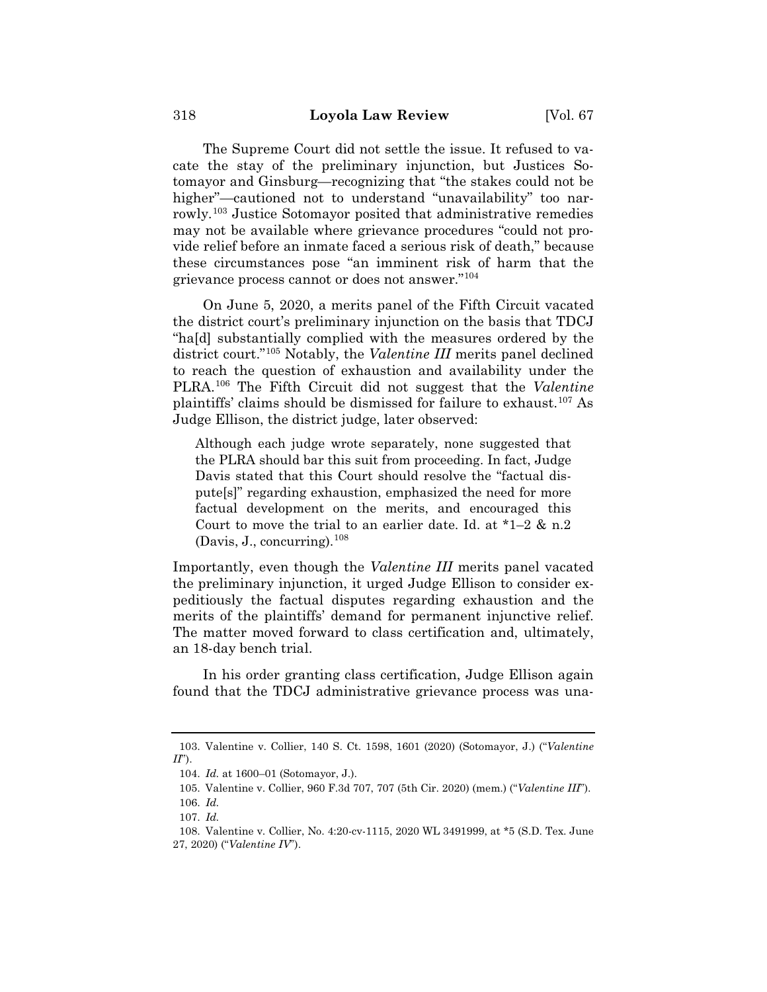The Supreme Court did not settle the issue. It refused to vacate the stay of the preliminary injunction, but Justices Sotomayor and Ginsburg—recognizing that "the stakes could not be higher"—cautioned not to understand "unavailability" too narrowly.103 Justice Sotomayor posited that administrative remedies may not be available where grievance procedures "could not provide relief before an inmate faced a serious risk of death," because these circumstances pose "an imminent risk of harm that the grievance process cannot or does not answer."104

On June 5, 2020, a merits panel of the Fifth Circuit vacated the district court's preliminary injunction on the basis that TDCJ "ha[d] substantially complied with the measures ordered by the district court."105 Notably, the *Valentine III* merits panel declined to reach the question of exhaustion and availability under the PLRA.106 The Fifth Circuit did not suggest that the *Valentine*  plaintiffs' claims should be dismissed for failure to exhaust.107 As Judge Ellison, the district judge, later observed:

Although each judge wrote separately, none suggested that the PLRA should bar this suit from proceeding. In fact, Judge Davis stated that this Court should resolve the "factual dispute[s]" regarding exhaustion, emphasized the need for more factual development on the merits, and encouraged this Court to move the trial to an earlier date. Id. at  $*1-2 \& n.2$ (Davis, J., concurring).<sup>108</sup>

Importantly, even though the *Valentine III* merits panel vacated the preliminary injunction, it urged Judge Ellison to consider expeditiously the factual disputes regarding exhaustion and the merits of the plaintiffs' demand for permanent injunctive relief. The matter moved forward to class certification and, ultimately, an 18-day bench trial.

In his order granting class certification, Judge Ellison again found that the TDCJ administrative grievance process was una-

<sup>103.</sup> Valentine v. Collier, 140 S. Ct. 1598, 1601 (2020) (Sotomayor, J.) ("*Valentine II*").

<sup>104.</sup> *Id.* at 1600–01 (Sotomayor, J.).

<sup>105.</sup> Valentine v. Collier, 960 F.3d 707, 707 (5th Cir. 2020) (mem.) ("*Valentine III*").

<sup>106.</sup> *Id.*

<sup>107.</sup> *Id.*

<sup>108.</sup> Valentine v. Collier, No. 4:20-cv-1115, 2020 WL 3491999, at \*5 (S.D. Tex. June 27, 2020) ("*Valentine IV*").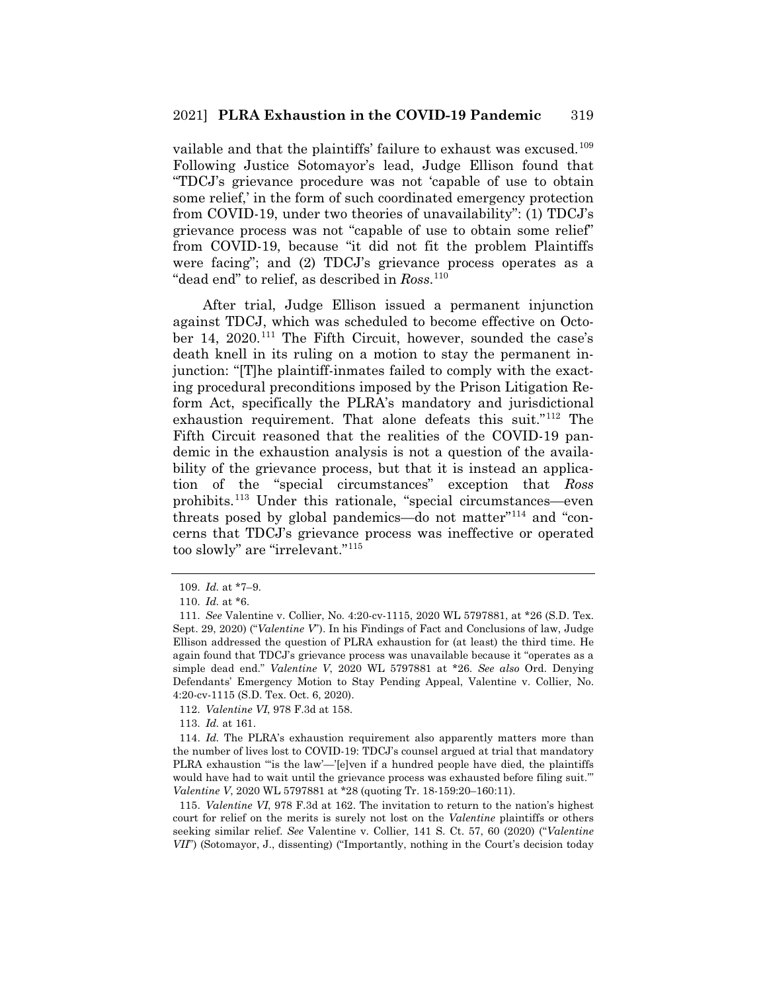vailable and that the plaintiffs' failure to exhaust was excused.<sup>109</sup> Following Justice Sotomayor's lead, Judge Ellison found that "TDCJ's grievance procedure was not 'capable of use to obtain some relief,' in the form of such coordinated emergency protection from COVID-19, under two theories of unavailability": (1) TDCJ's grievance process was not "capable of use to obtain some relief" from COVID-19, because "it did not fit the problem Plaintiffs were facing"; and (2) TDCJ's grievance process operates as a "dead end" to relief, as described in *Ross*. 110

After trial, Judge Ellison issued a permanent injunction against TDCJ, which was scheduled to become effective on October 14, 2020.<sup>111</sup> The Fifth Circuit, however, sounded the case's death knell in its ruling on a motion to stay the permanent injunction: "[T]he plaintiff-inmates failed to comply with the exacting procedural preconditions imposed by the Prison Litigation Reform Act, specifically the PLRA's mandatory and jurisdictional exhaustion requirement. That alone defeats this suit."<sup>112</sup> The Fifth Circuit reasoned that the realities of the COVID-19 pandemic in the exhaustion analysis is not a question of the availability of the grievance process, but that it is instead an application of the "special circumstances" exception that *Ross* prohibits.113 Under this rationale, "special circumstances—even threats posed by global pandemics—do not matter"114 and "concerns that TDCJ's grievance process was ineffective or operated too slowly" are "irrelevant."115

113. *Id.* at 161.

115. *Valentine VI*, 978 F.3d at 162. The invitation to return to the nation's highest court for relief on the merits is surely not lost on the *Valentine* plaintiffs or others seeking similar relief. *See* Valentine v. Collier, 141 S. Ct. 57, 60 (2020) ("*Valentine VII*") (Sotomayor, J., dissenting) ("Importantly, nothing in the Court's decision today

<sup>109.</sup> *Id.* at \*7–9.

<sup>110.</sup> *Id.* at \*6.

<sup>111.</sup> *See* Valentine v. Collier, No. 4:20-cv-1115, 2020 WL 5797881, at \*26 (S.D. Tex. Sept. 29, 2020) ("*Valentine V*"). In his Findings of Fact and Conclusions of law, Judge Ellison addressed the question of PLRA exhaustion for (at least) the third time. He again found that TDCJ's grievance process was unavailable because it "operates as a simple dead end." *Valentine V*, 2020 WL 5797881 at \*26. *See also* Ord. Denying Defendants' Emergency Motion to Stay Pending Appeal, Valentine v. Collier, No. 4:20-cv-1115 (S.D. Tex. Oct. 6, 2020).

<sup>112.</sup> *Valentine VI*, 978 F.3d at 158.

<sup>114.</sup> *Id.* The PLRA's exhaustion requirement also apparently matters more than the number of lives lost to COVID-19: TDCJ's counsel argued at trial that mandatory PLRA exhaustion ""is the law'—'[e]ven if a hundred people have died, the plaintiffs would have had to wait until the grievance process was exhausted before filing suit.'" *Valentine V*, 2020 WL 5797881 at \*28 (quoting Tr. 18-159:20–160:11).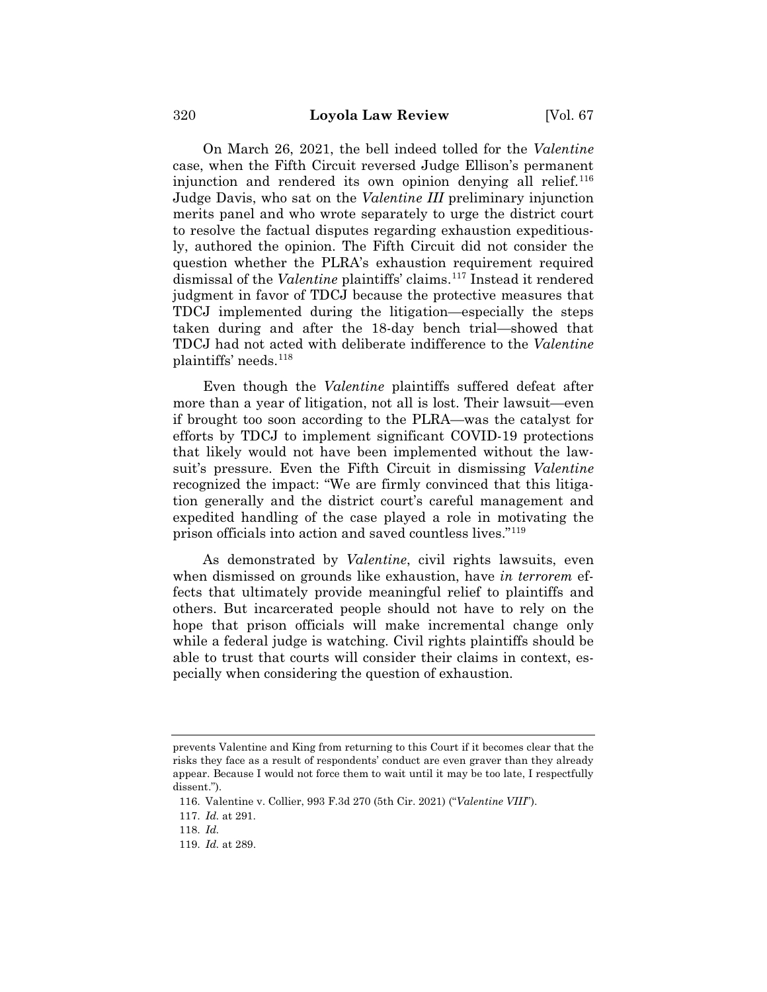On March 26, 2021, the bell indeed tolled for the *Valentine*  case, when the Fifth Circuit reversed Judge Ellison's permanent injunction and rendered its own opinion denying all relief.<sup>116</sup> Judge Davis, who sat on the *Valentine III* preliminary injunction merits panel and who wrote separately to urge the district court to resolve the factual disputes regarding exhaustion expeditiously, authored the opinion. The Fifth Circuit did not consider the question whether the PLRA's exhaustion requirement required dismissal of the *Valentine* plaintiffs' claims.<sup>117</sup> Instead it rendered judgment in favor of TDCJ because the protective measures that TDCJ implemented during the litigation—especially the steps taken during and after the 18-day bench trial—showed that TDCJ had not acted with deliberate indifference to the *Valentine*  plaintiffs' needs.118

Even though the *Valentine* plaintiffs suffered defeat after more than a year of litigation, not all is lost. Their lawsuit—even if brought too soon according to the PLRA—was the catalyst for efforts by TDCJ to implement significant COVID-19 protections that likely would not have been implemented without the lawsuit's pressure. Even the Fifth Circuit in dismissing *Valentine* recognized the impact: "We are firmly convinced that this litigation generally and the district court's careful management and expedited handling of the case played a role in motivating the prison officials into action and saved countless lives."119

As demonstrated by *Valentine*, civil rights lawsuits, even when dismissed on grounds like exhaustion, have *in terrorem* effects that ultimately provide meaningful relief to plaintiffs and others. But incarcerated people should not have to rely on the hope that prison officials will make incremental change only while a federal judge is watching. Civil rights plaintiffs should be able to trust that courts will consider their claims in context, especially when considering the question of exhaustion.

prevents Valentine and King from returning to this Court if it becomes clear that the risks they face as a result of respondents' conduct are even graver than they already appear. Because I would not force them to wait until it may be too late, I respectfully dissent.").

<sup>116.</sup> Valentine v. Collier, 993 F.3d 270 (5th Cir. 2021) ("*Valentine VIII*").

<sup>117.</sup> *Id.* at 291.

<sup>118.</sup> *Id.*

<sup>119.</sup> *Id.* at 289.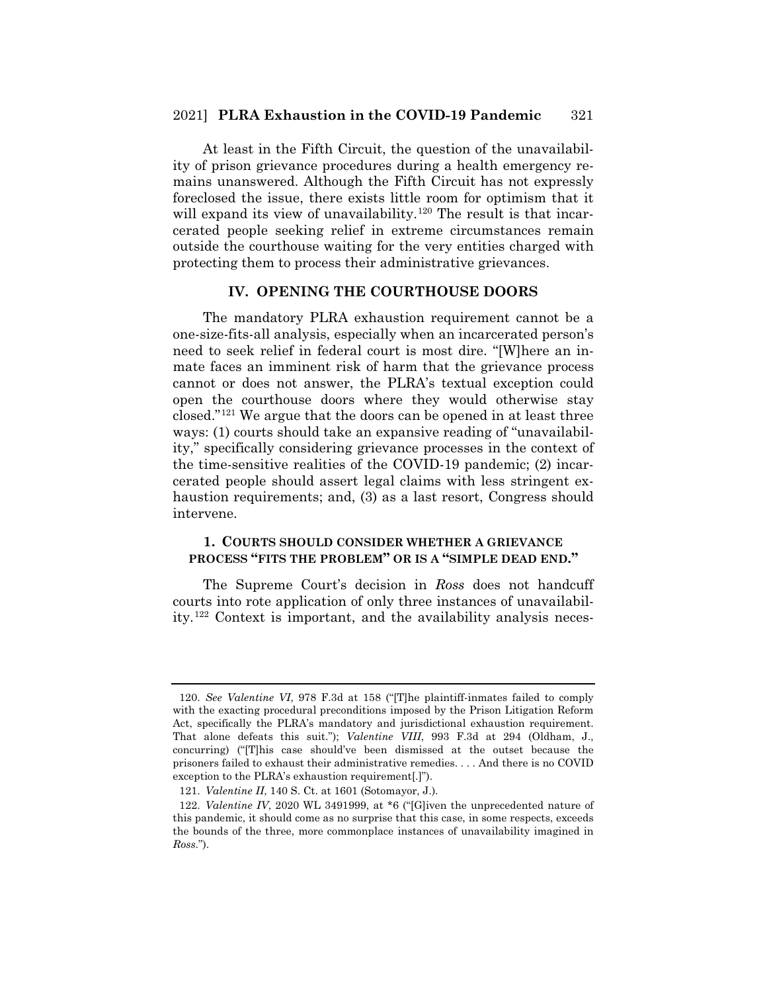#### 2021] **PLRA Exhaustion in the COVID-19 Pandemic** 321

At least in the Fifth Circuit, the question of the unavailability of prison grievance procedures during a health emergency remains unanswered. Although the Fifth Circuit has not expressly foreclosed the issue, there exists little room for optimism that it will expand its view of unavailability.<sup>120</sup> The result is that incarcerated people seeking relief in extreme circumstances remain outside the courthouse waiting for the very entities charged with protecting them to process their administrative grievances.

## **IV. OPENING THE COURTHOUSE DOORS**

The mandatory PLRA exhaustion requirement cannot be a one-size-fits-all analysis, especially when an incarcerated person's need to seek relief in federal court is most dire. "[W]here an inmate faces an imminent risk of harm that the grievance process cannot or does not answer, the PLRA's textual exception could open the courthouse doors where they would otherwise stay closed."121 We argue that the doors can be opened in at least three ways: (1) courts should take an expansive reading of "unavailability," specifically considering grievance processes in the context of the time-sensitive realities of the COVID-19 pandemic; (2) incarcerated people should assert legal claims with less stringent exhaustion requirements; and, (3) as a last resort, Congress should intervene.

## **1. COURTS SHOULD CONSIDER WHETHER A GRIEVANCE PROCESS "FITS THE PROBLEM" OR IS A "SIMPLE DEAD END."**

The Supreme Court's decision in *Ross* does not handcuff courts into rote application of only three instances of unavailability.122 Context is important, and the availability analysis neces-

<sup>120.</sup> *See Valentine VI*, 978 F.3d at 158 ("[T]he plaintiff-inmates failed to comply with the exacting procedural preconditions imposed by the Prison Litigation Reform Act, specifically the PLRA's mandatory and jurisdictional exhaustion requirement. That alone defeats this suit."); *Valentine VIII*, 993 F.3d at 294 (Oldham, J., concurring) ("[T]his case should've been dismissed at the outset because the prisoners failed to exhaust their administrative remedies. . . . And there is no COVID exception to the PLRA's exhaustion requirement[.]").

<sup>121.</sup> *Valentine II*, 140 S. Ct. at 1601 (Sotomayor, J.).

<sup>122.</sup> *Valentine IV*, 2020 WL 3491999, at \*6 ("[G]iven the unprecedented nature of this pandemic, it should come as no surprise that this case, in some respects, exceeds the bounds of the three, more commonplace instances of unavailability imagined in *Ross*.").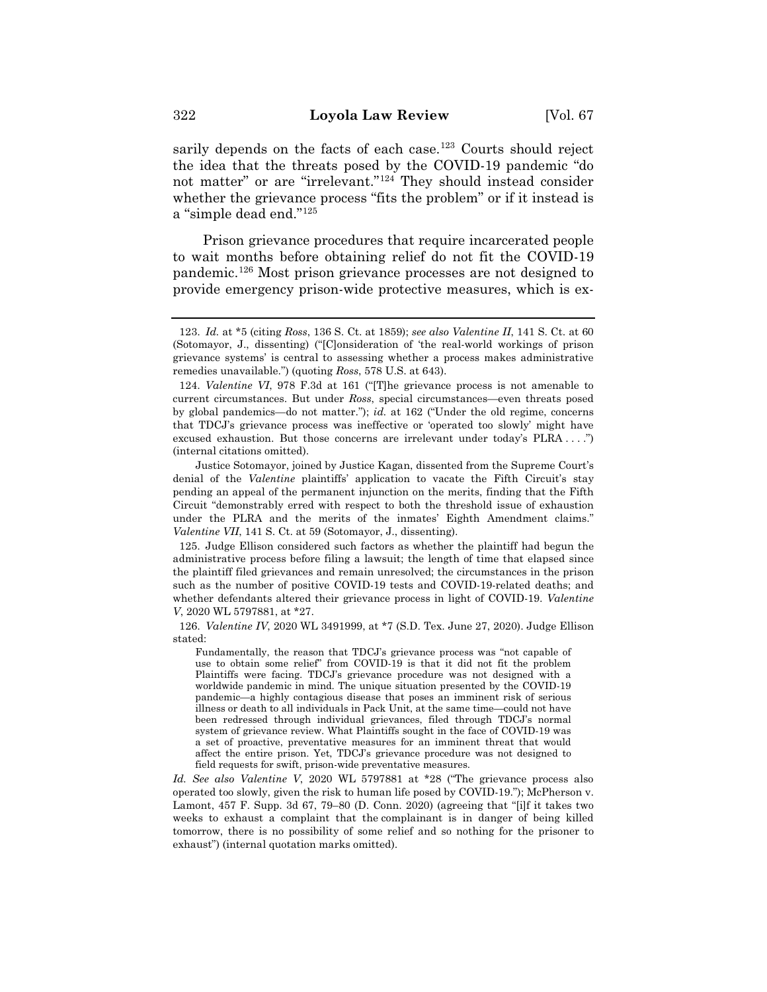sarily depends on the facts of each case.<sup>123</sup> Courts should reject the idea that the threats posed by the COVID-19 pandemic "do not matter" or are "irrelevant."124 They should instead consider whether the grievance process "fits the problem" or if it instead is a "simple dead end."125

Prison grievance procedures that require incarcerated people to wait months before obtaining relief do not fit the COVID-19 pandemic.126 Most prison grievance processes are not designed to provide emergency prison-wide protective measures, which is ex-

Justice Sotomayor, joined by Justice Kagan, dissented from the Supreme Court's denial of the *Valentine* plaintiffs' application to vacate the Fifth Circuit's stay pending an appeal of the permanent injunction on the merits, finding that the Fifth Circuit "demonstrably erred with respect to both the threshold issue of exhaustion under the PLRA and the merits of the inmates' Eighth Amendment claims." *Valentine VII*, 141 S. Ct. at 59 (Sotomayor, J., dissenting).

125. Judge Ellison considered such factors as whether the plaintiff had begun the administrative process before filing a lawsuit; the length of time that elapsed since the plaintiff filed grievances and remain unresolved; the circumstances in the prison such as the number of positive COVID-19 tests and COVID-19-related deaths; and whether defendants altered their grievance process in light of COVID-19. *Valentine V*, 2020 WL 5797881, at \*27.

126. *Valentine IV*, 2020 WL 3491999, at \*7 (S.D. Tex. June 27, 2020). Judge Ellison stated:

Fundamentally, the reason that TDCJ's grievance process was "not capable of use to obtain some relief" from COVID-19 is that it did not fit the problem Plaintiffs were facing. TDCJ's grievance procedure was not designed with a worldwide pandemic in mind. The unique situation presented by the COVID-19 pandemic—a highly contagious disease that poses an imminent risk of serious illness or death to all individuals in Pack Unit, at the same time—could not have been redressed through individual grievances, filed through TDCJ's normal system of grievance review. What Plaintiffs sought in the face of COVID-19 was a set of proactive, preventative measures for an imminent threat that would affect the entire prison. Yet, TDCJ's grievance procedure was not designed to field requests for swift, prison-wide preventative measures.

*Id. See also Valentine V*, 2020 WL 5797881 at \*28 ("The grievance process also operated too slowly, given the risk to human life posed by COVID-19."); McPherson v. Lamont, 457 F. Supp. 3d 67, 79–80 (D. Conn. 2020) (agreeing that "[i]f it takes two weeks to exhaust a complaint that the complainant is in danger of being killed tomorrow, there is no possibility of some relief and so nothing for the prisoner to exhaust") (internal quotation marks omitted).

<sup>123.</sup> *Id.* at \*5 (citing *Ross*, 136 S. Ct. at 1859); *see also Valentine II*, 141 S. Ct. at 60 (Sotomayor, J., dissenting) ("[C]onsideration of 'the real-world workings of prison grievance systems' is central to assessing whether a process makes administrative remedies unavailable.") (quoting *Ross*, 578 U.S. at 643).

<sup>124.</sup> *Valentine VI*, 978 F.3d at 161 ("[T]he grievance process is not amenable to current circumstances. But under *Ross*, special circumstances—even threats posed by global pandemics—do not matter."); *id.* at 162 ("Under the old regime, concerns that TDCJ's grievance process was ineffective or 'operated too slowly' might have excused exhaustion. But those concerns are irrelevant under today's PLRA . . . .") (internal citations omitted).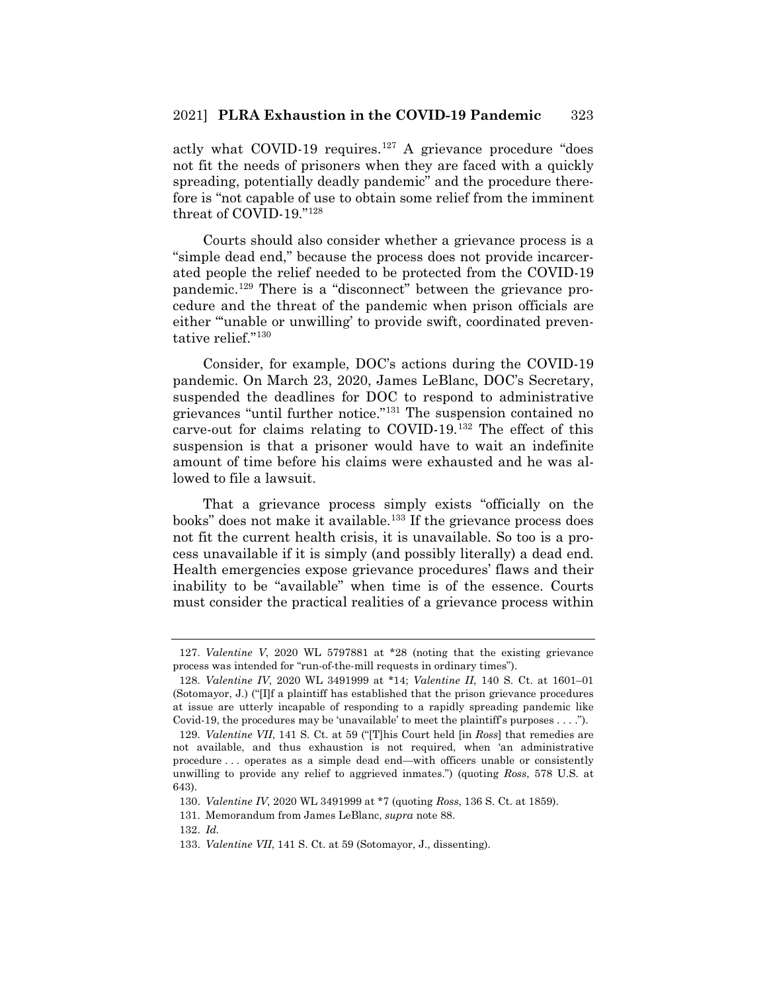actly what COVID-19 requires.<sup>127</sup> A grievance procedure "does" not fit the needs of prisoners when they are faced with a quickly spreading, potentially deadly pandemic" and the procedure therefore is "not capable of use to obtain some relief from the imminent threat of COVID-19."128

Courts should also consider whether a grievance process is a "simple dead end," because the process does not provide incarcerated people the relief needed to be protected from the COVID-19 pandemic.129 There is a "disconnect" between the grievance procedure and the threat of the pandemic when prison officials are either "'unable or unwilling' to provide swift, coordinated preventative relief."130

Consider, for example, DOC's actions during the COVID-19 pandemic. On March 23, 2020, James LeBlanc, DOC's Secretary, suspended the deadlines for DOC to respond to administrative grievances "until further notice."131 The suspension contained no carve-out for claims relating to COVID-19.132 The effect of this suspension is that a prisoner would have to wait an indefinite amount of time before his claims were exhausted and he was allowed to file a lawsuit.

That a grievance process simply exists "officially on the books" does not make it available.<sup>133</sup> If the grievance process does not fit the current health crisis, it is unavailable. So too is a process unavailable if it is simply (and possibly literally) a dead end. Health emergencies expose grievance procedures' flaws and their inability to be "available" when time is of the essence. Courts must consider the practical realities of a grievance process within

<sup>127.</sup> *Valentine V*, 2020 WL 5797881 at \*28 (noting that the existing grievance process was intended for "run-of-the-mill requests in ordinary times").

<sup>128.</sup> *Valentine IV*, 2020 WL 3491999 at \*14; *Valentine II*, 140 S. Ct. at 1601–01 (Sotomayor, J.) ("[I]f a plaintiff has established that the prison grievance procedures at issue are utterly incapable of responding to a rapidly spreading pandemic like Covid-19, the procedures may be 'unavailable' to meet the plaintiff's purposes . . . .").

<sup>129.</sup> *Valentine VII*, 141 S. Ct. at 59 ("[T]his Court held [in *Ross*] that remedies are not available, and thus exhaustion is not required, when 'an administrative procedure . . . operates as a simple dead end—with officers unable or consistently unwilling to provide any relief to aggrieved inmates.") (quoting *Ross*, 578 U.S. at 643).

<sup>130.</sup> *Valentine IV*, 2020 WL 3491999 at \*7 (quoting *Ross*, 136 S. Ct. at 1859).

<sup>131.</sup> Memorandum from James LeBlanc, *supra* note 88.

<sup>132.</sup> *Id.*

<sup>133.</sup> *Valentine VII*, 141 S. Ct. at 59 (Sotomayor, J., dissenting).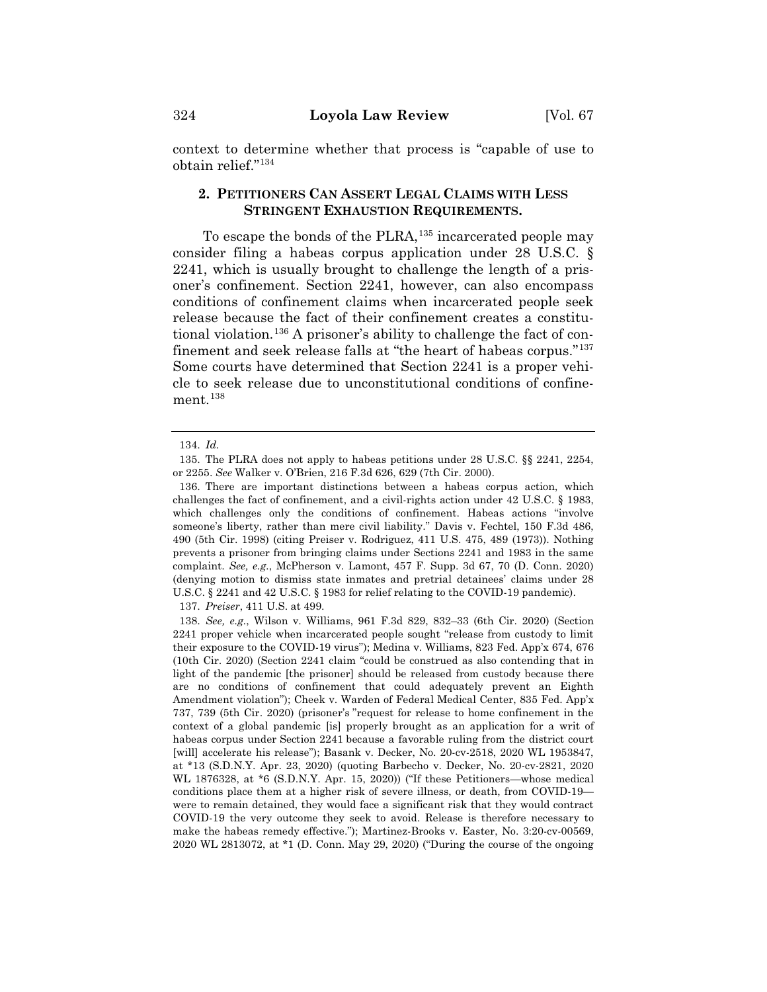context to determine whether that process is "capable of use to obtain relief."134

# **2. PETITIONERS CAN ASSERT LEGAL CLAIMS WITH LESS STRINGENT EXHAUSTION REQUIREMENTS.**

To escape the bonds of the PLRA,<sup>135</sup> incarcerated people may consider filing a habeas corpus application under 28 U.S.C. § 2241, which is usually brought to challenge the length of a prisoner's confinement. Section 2241, however, can also encompass conditions of confinement claims when incarcerated people seek release because the fact of their confinement creates a constitutional violation.136 A prisoner's ability to challenge the fact of confinement and seek release falls at "the heart of habeas corpus."137 Some courts have determined that Section 2241 is a proper vehicle to seek release due to unconstitutional conditions of confinement.<sup>138</sup>

136. There are important distinctions between a habeas corpus action, which challenges the fact of confinement, and a civil-rights action under 42 U.S.C. § 1983, which challenges only the conditions of confinement. Habeas actions "involve someone's liberty, rather than mere civil liability." Davis v. Fechtel, 150 F.3d 486, 490 (5th Cir. 1998) (citing Preiser v. Rodriguez, 411 U.S. 475, 489 (1973)). Nothing prevents a prisoner from bringing claims under Sections 2241 and 1983 in the same complaint. *See, e.g.*, McPherson v. Lamont, 457 F. Supp. 3d 67, 70 (D. Conn. 2020) (denying motion to dismiss state inmates and pretrial detainees' claims under 28 U.S.C. § 2241 and 42 U.S.C. § 1983 for relief relating to the COVID-19 pandemic).

137. *Preiser*, 411 U.S. at 499.

<sup>134.</sup> *Id.*

<sup>135.</sup> The PLRA does not apply to habeas petitions under 28 U.S.C. §§ 2241, 2254, or 2255. *See* Walker v. O'Brien, 216 F.3d 626, 629 (7th Cir. 2000).

<sup>138.</sup> *See, e.g.*, Wilson v. Williams, 961 F.3d 829, 832–33 (6th Cir. 2020) (Section 2241 proper vehicle when incarcerated people sought "release from custody to limit their exposure to the COVID-19 virus"); Medina v. Williams, 823 Fed. App'x 674, 676 (10th Cir. 2020) (Section 2241 claim "could be construed as also contending that in light of the pandemic [the prisoner] should be released from custody because there are no conditions of confinement that could adequately prevent an Eighth Amendment violation"); Cheek v. Warden of Federal Medical Center, 835 Fed. App'x 737, 739 (5th Cir. 2020) (prisoner's "request for release to home confinement in the context of a global pandemic [is] properly brought as an application for a writ of habeas corpus under Section 2241 because a favorable ruling from the district court [will] accelerate his release"); Basank v. Decker, No. 20-cv-2518, 2020 WL 1953847, at \*13 (S.D.N.Y. Apr. 23, 2020) (quoting Barbecho v. Decker, No. 20-cv-2821, 2020 WL 1876328, at \*6 (S.D.N.Y. Apr. 15, 2020)) ("If these Petitioners—whose medical conditions place them at a higher risk of severe illness, or death, from COVID-19 were to remain detained, they would face a significant risk that they would contract COVID-19 the very outcome they seek to avoid. Release is therefore necessary to make the habeas remedy effective."); Martinez-Brooks v. Easter, No. 3:20-cv-00569, 2020 WL 2813072, at \*1 (D. Conn. May 29, 2020) ("During the course of the ongoing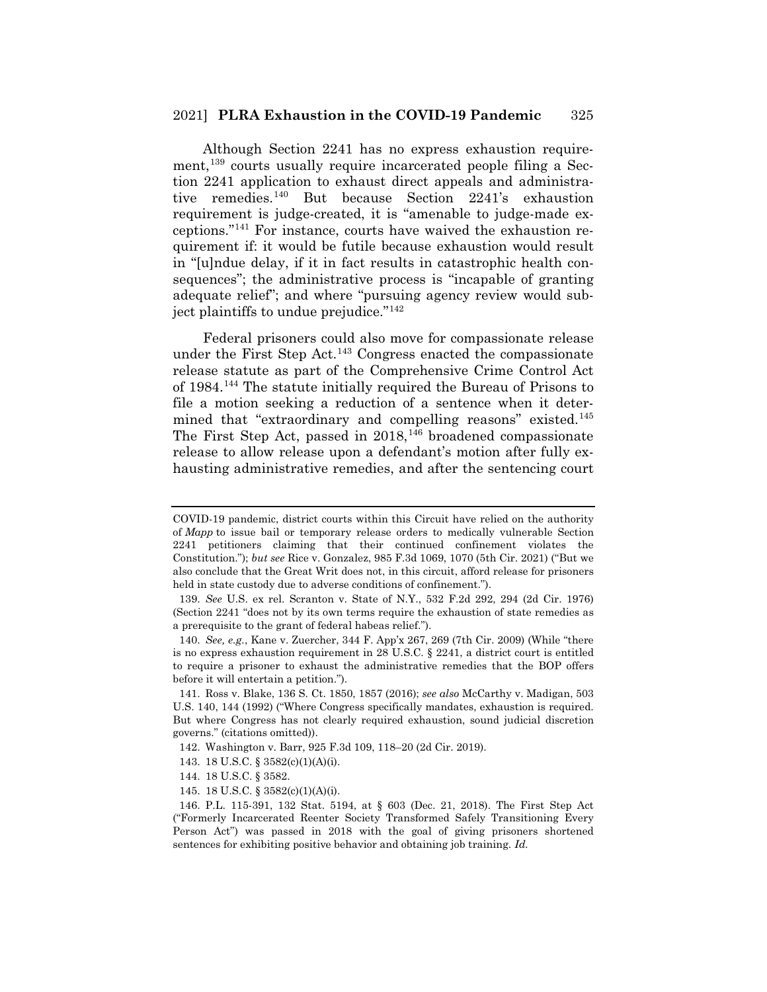#### 2021] **PLRA Exhaustion in the COVID-19 Pandemic** 325

Although Section 2241 has no express exhaustion requirement,<sup>139</sup> courts usually require incarcerated people filing a Section 2241 application to exhaust direct appeals and administrative remedies.140 But because Section 2241's exhaustion requirement is judge-created, it is "amenable to judge-made exceptions."141 For instance, courts have waived the exhaustion requirement if: it would be futile because exhaustion would result in "[u]ndue delay, if it in fact results in catastrophic health consequences"; the administrative process is "incapable of granting adequate relief"; and where "pursuing agency review would subject plaintiffs to undue prejudice."142

Federal prisoners could also move for compassionate release under the First Step Act.143 Congress enacted the compassionate release statute as part of the Comprehensive Crime Control Act of 1984.144 The statute initially required the Bureau of Prisons to file a motion seeking a reduction of a sentence when it determined that "extraordinary and compelling reasons" existed.<sup>145</sup> The First Step Act, passed in  $2018$ ,  $146$  broadened compassionate release to allow release upon a defendant's motion after fully exhausting administrative remedies, and after the sentencing court

COVID-19 pandemic, district courts within this Circuit have relied on the authority of *Mapp* to issue bail or temporary release orders to medically vulnerable Section 2241 petitioners claiming that their continued confinement violates the Constitution."); *but see* Rice v. Gonzalez, 985 F.3d 1069, 1070 (5th Cir. 2021) ("But we also conclude that the Great Writ does not, in this circuit, afford release for prisoners held in state custody due to adverse conditions of confinement.").

<sup>139.</sup> *See* U.S. ex rel. Scranton v. State of N.Y., 532 F.2d 292, 294 (2d Cir. 1976) (Section 2241 "does not by its own terms require the exhaustion of state remedies as a prerequisite to the grant of federal habeas relief.").

<sup>140.</sup> *See, e.g.*, Kane v. Zuercher, 344 F. App'x 267, 269 (7th Cir. 2009) (While "there is no express exhaustion requirement in 28 U.S.C. § 2241, a district court is entitled to require a prisoner to exhaust the administrative remedies that the BOP offers before it will entertain a petition.").

<sup>141.</sup> Ross v. Blake, 136 S. Ct. 1850, 1857 (2016); *see also* McCarthy v. Madigan, 503 U.S. 140, 144 (1992) ("Where Congress specifically mandates, exhaustion is required. But where Congress has not clearly required exhaustion, sound judicial discretion governs." (citations omitted)).

<sup>142.</sup> Washington v. Barr, 925 F.3d 109, 118–20 (2d Cir. 2019).

<sup>143. 18</sup> U.S.C. § 3582(c)(1)(A)(i).

<sup>144. 18</sup> U.S.C. § 3582.

<sup>145. 18</sup> U.S.C. § 3582(c)(1)(A)(i).

<sup>146.</sup> P.L. 115-391, 132 Stat. 5194, at § 603 (Dec. 21, 2018). The First Step Act ("Formerly Incarcerated Reenter Society Transformed Safely Transitioning Every Person Act") was passed in 2018 with the goal of giving prisoners shortened sentences for exhibiting positive behavior and obtaining job training. *Id.*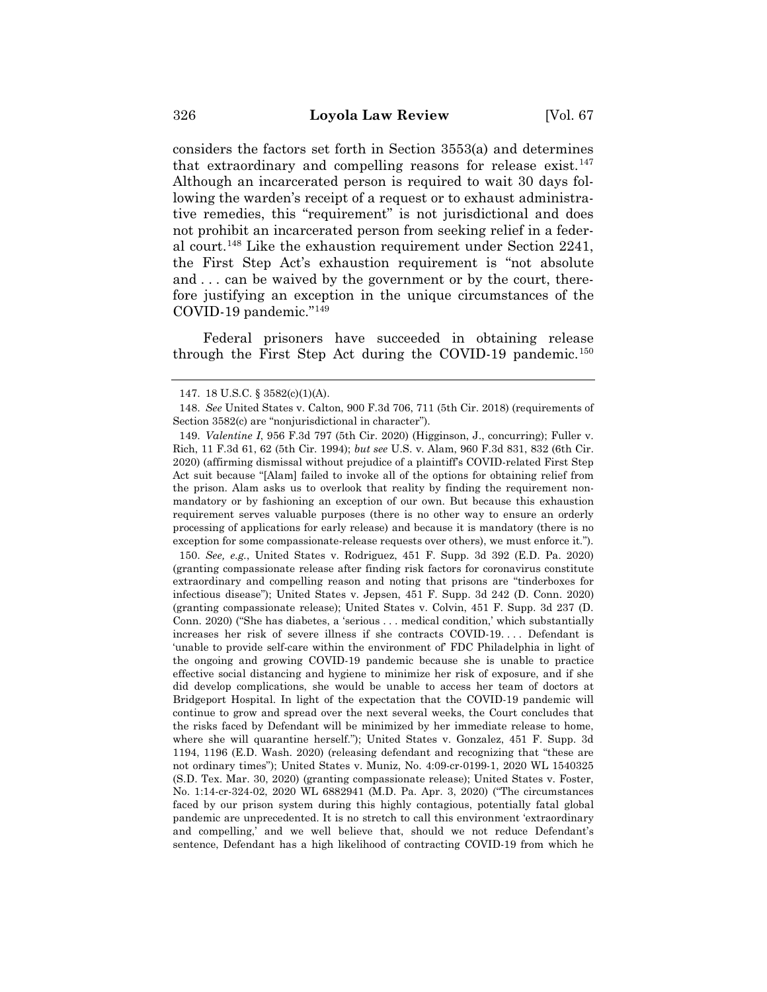considers the factors set forth in Section 3553(a) and determines that extraordinary and compelling reasons for release exist.<sup>147</sup> Although an incarcerated person is required to wait 30 days following the warden's receipt of a request or to exhaust administrative remedies, this "requirement" is not jurisdictional and does not prohibit an incarcerated person from seeking relief in a federal court.148 Like the exhaustion requirement under Section 2241, the First Step Act's exhaustion requirement is "not absolute and . . . can be waived by the government or by the court, therefore justifying an exception in the unique circumstances of the COVID-19 pandemic."149

Federal prisoners have succeeded in obtaining release through the First Step Act during the COVID-19 pandemic.<sup>150</sup>

150. *See, e.g.*, United States v. Rodriguez, 451 F. Supp. 3d 392 (E.D. Pa. 2020) (granting compassionate release after finding risk factors for coronavirus constitute extraordinary and compelling reason and noting that prisons are "tinderboxes for infectious disease"); United States v. Jepsen, 451 F. Supp. 3d 242 (D. Conn. 2020) (granting compassionate release); United States v. Colvin, 451 F. Supp. 3d 237 (D. Conn. 2020) ("She has diabetes, a 'serious . . . medical condition,' which substantially increases her risk of severe illness if she contracts COVID-19. . . . Defendant is 'unable to provide self-care within the environment of' FDC Philadelphia in light of the ongoing and growing COVID-19 pandemic because she is unable to practice effective social distancing and hygiene to minimize her risk of exposure, and if she did develop complications, she would be unable to access her team of doctors at Bridgeport Hospital. In light of the expectation that the COVID-19 pandemic will continue to grow and spread over the next several weeks, the Court concludes that the risks faced by Defendant will be minimized by her immediate release to home, where she will quarantine herself."); United States v. Gonzalez, 451 F. Supp. 3d 1194, 1196 (E.D. Wash. 2020) (releasing defendant and recognizing that "these are not ordinary times"); United States v. Muniz, No. 4:09-cr-0199-1, 2020 WL 1540325 (S.D. Tex. Mar. 30, 2020) (granting compassionate release); United States v. Foster, No. 1:14-cr-324-02, 2020 WL 6882941 (M.D. Pa. Apr. 3, 2020) ("The circumstances faced by our prison system during this highly contagious, potentially fatal global pandemic are unprecedented. It is no stretch to call this environment 'extraordinary and compelling,' and we well believe that, should we not reduce Defendant's sentence, Defendant has a high likelihood of contracting COVID-19 from which he

<sup>147. 18</sup> U.S.C. § 3582(c)(1)(A).

<sup>148.</sup> *See* United States v. Calton, 900 F.3d 706, 711 (5th Cir. 2018) (requirements of Section 3582(c) are "nonjurisdictional in character").

<sup>149.</sup> *Valentine I*, 956 F.3d 797 (5th Cir. 2020) (Higginson, J., concurring); Fuller v. Rich, 11 F.3d 61, 62 (5th Cir. 1994); *but see* U.S. v. Alam, 960 F.3d 831, 832 (6th Cir. 2020) (affirming dismissal without prejudice of a plaintiff's COVID-related First Step Act suit because "[Alam] failed to invoke all of the options for obtaining relief from the prison. Alam asks us to overlook that reality by finding the requirement nonmandatory or by fashioning an exception of our own. But because this exhaustion requirement serves valuable purposes (there is no other way to ensure an orderly processing of applications for early release) and because it is mandatory (there is no exception for some compassionate-release requests over others), we must enforce it.").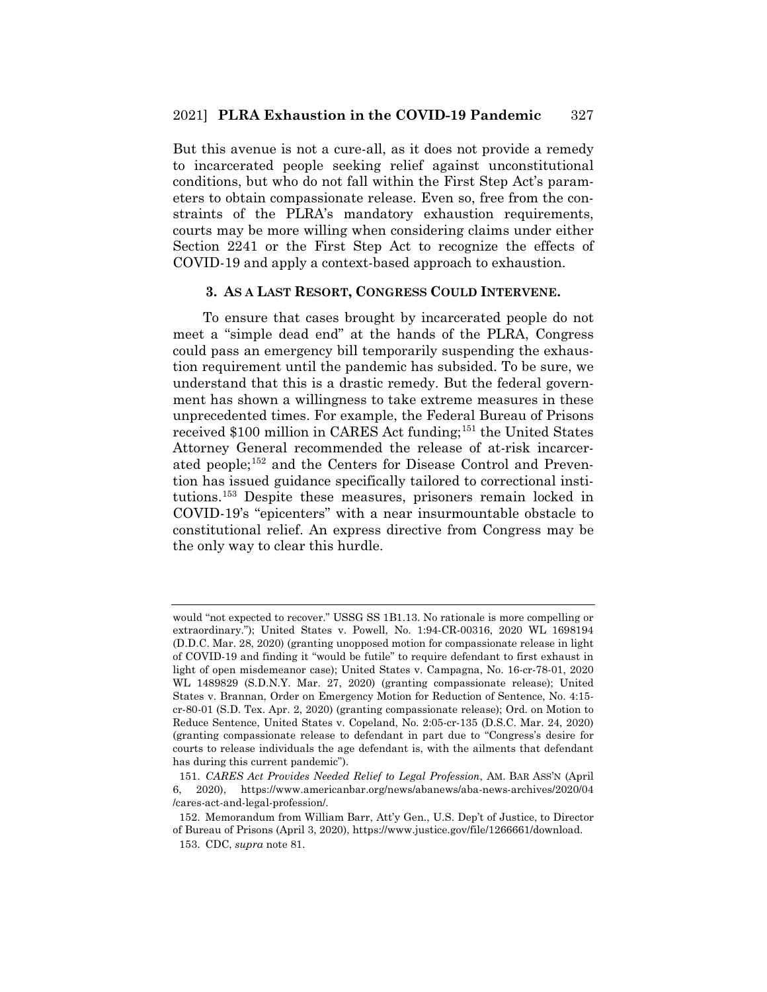But this avenue is not a cure-all, as it does not provide a remedy to incarcerated people seeking relief against unconstitutional conditions, but who do not fall within the First Step Act's parameters to obtain compassionate release. Even so, free from the constraints of the PLRA's mandatory exhaustion requirements, courts may be more willing when considering claims under either Section 2241 or the First Step Act to recognize the effects of COVID-19 and apply a context-based approach to exhaustion.

### **3. AS A LAST RESORT, CONGRESS COULD INTERVENE.**

To ensure that cases brought by incarcerated people do not meet a "simple dead end" at the hands of the PLRA, Congress could pass an emergency bill temporarily suspending the exhaustion requirement until the pandemic has subsided. To be sure, we understand that this is a drastic remedy. But the federal government has shown a willingness to take extreme measures in these unprecedented times. For example, the Federal Bureau of Prisons received \$100 million in CARES Act funding;<sup>151</sup> the United States Attorney General recommended the release of at-risk incarcerated people;<sup>152</sup> and the Centers for Disease Control and Prevention has issued guidance specifically tailored to correctional institutions.153 Despite these measures, prisoners remain locked in COVID-19's "epicenters" with a near insurmountable obstacle to constitutional relief. An express directive from Congress may be the only way to clear this hurdle.

would "not expected to recover." USSG SS 1B1.13. No rationale is more compelling or extraordinary."); United States v. Powell, No. 1:94-CR-00316, 2020 WL 1698194 (D.D.C. Mar. 28, 2020) (granting unopposed motion for compassionate release in light of COVID-19 and finding it "would be futile" to require defendant to first exhaust in light of open misdemeanor case); United States v. Campagna, No. 16-cr-78-01, 2020 WL 1489829 (S.D.N.Y. Mar. 27, 2020) (granting compassionate release); United States v. Brannan, Order on Emergency Motion for Reduction of Sentence, No. 4:15 cr-80-01 (S.D. Tex. Apr. 2, 2020) (granting compassionate release); Ord. on Motion to Reduce Sentence, United States v. Copeland, No. 2:05-cr-135 (D.S.C. Mar. 24, 2020) (granting compassionate release to defendant in part due to "Congress's desire for courts to release individuals the age defendant is, with the ailments that defendant has during this current pandemic").

<sup>151.</sup> *CARES Act Provides Needed Relief to Legal Profession*, AM. BAR ASS'N (April 6, 2020), https://www.americanbar.org/news/abanews/aba-news-archives/2020/04 /cares-act-and-legal-profession/.

<sup>152.</sup> Memorandum from William Barr, Att'y Gen., U.S. Dep't of Justice, to Director of Bureau of Prisons (April 3, 2020), https://www.justice.gov/file/1266661/download.

<sup>153.</sup> CDC, *supra* note 81.